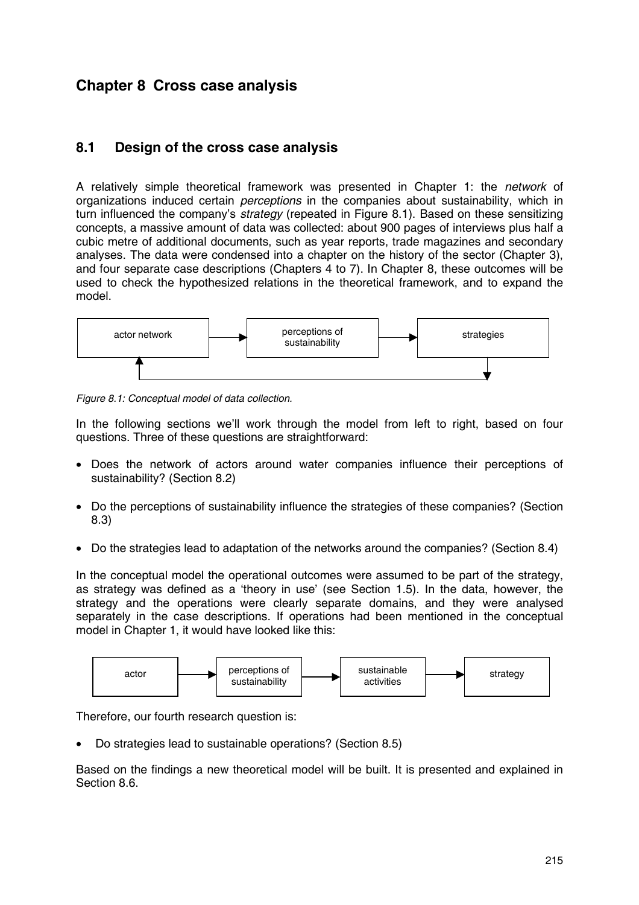# **Chapter 8 Cross case analysis**

### **8.1 Design of the cross case analysis**

A relatively simple theoretical framework was presented in Chapter 1: the *network* of organizations induced certain *perceptions* in the companies about sustainability, which in turn influenced the company's *strategy* (repeated in Figure 8.1). Based on these sensitizing concepts, a massive amount of data was collected: about 900 pages of interviews plus half a cubic metre of additional documents, such as year reports, trade magazines and secondary analyses. The data were condensed into a chapter on the history of the sector (Chapter 3), and four separate case descriptions (Chapters 4 to 7). In Chapter 8, these outcomes will be used to check the hypothesized relations in the theoretical framework, and to expand the model.



*Figure 8.1: Conceptual model of data collection.*

In the following sections we'll work through the model from left to right, based on four questions. Three of these questions are straightforward:

- Does the network of actors around water companies influence their perceptions of sustainability? (Section 8.2)
- Do the perceptions of sustainability influence the strategies of these companies? (Section 8.3)
- Do the strategies lead to adaptation of the networks around the companies? (Section 8.4)

In the conceptual model the operational outcomes were assumed to be part of the strategy, as strategy was defined as a 'theory in use' (see Section 1.5). In the data, however, the strategy and the operations were clearly separate domains, and they were analysed separately in the case descriptions. If operations had been mentioned in the conceptual model in Chapter 1, it would have looked like this:



Therefore, our fourth research question is:

• Do strategies lead to sustainable operations? (Section 8.5)

Based on the findings a new theoretical model will be built. It is presented and explained in Section 8.6.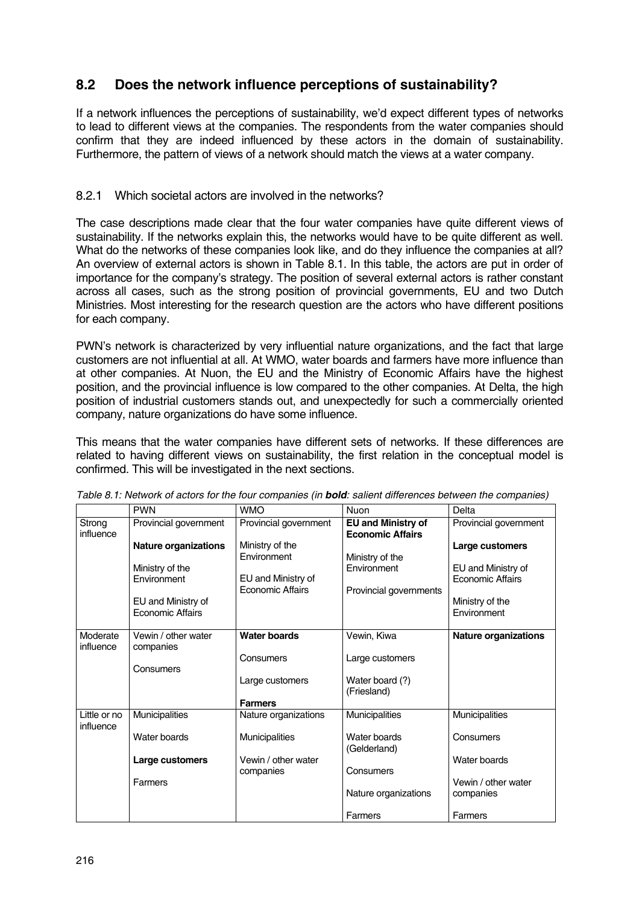## **8.2 Does the network influence perceptions of sustainability?**

If a network influences the perceptions of sustainability, we'd expect different types of networks to lead to different views at the companies. The respondents from the water companies should confirm that they are indeed influenced by these actors in the domain of sustainability. Furthermore, the pattern of views of a network should match the views at a water company.

### 8.2.1 Which societal actors are involved in the networks?

The case descriptions made clear that the four water companies have quite different views of sustainability. If the networks explain this, the networks would have to be quite different as well. What do the networks of these companies look like, and do they influence the companies at all? An overview of external actors is shown in Table 8.1. In this table, the actors are put in order of importance for the company's strategy. The position of several external actors is rather constant across all cases, such as the strong position of provincial governments, EU and two Dutch Ministries. Most interesting for the research question are the actors who have different positions for each company.

PWN's network is characterized by very influential nature organizations, and the fact that large customers are not influential at all. At WMO, water boards and farmers have more influence than at other companies. At Nuon, the EU and the Ministry of Economic Affairs have the highest position, and the provincial influence is low compared to the other companies. At Delta, the high position of industrial customers stands out, and unexpectedly for such a commercially oriented company, nature organizations do have some influence.

This means that the water companies have different sets of networks. If these differences are related to having different views on sustainability, the first relation in the conceptual model is confirmed. This will be investigated in the next sections.

|                     | <b>PWN</b>                  | <b>WMO</b>            | <b>Nuon</b>                                          | Delta                       |
|---------------------|-----------------------------|-----------------------|------------------------------------------------------|-----------------------------|
| Strong<br>influence | Provincial government       | Provincial government | <b>EU and Ministry of</b><br><b>Economic Affairs</b> | Provincial government       |
|                     | <b>Nature organizations</b> | Ministry of the       |                                                      | Large customers             |
|                     |                             | Environment           | Ministry of the                                      |                             |
|                     | Ministry of the             |                       | Environment                                          | EU and Ministry of          |
|                     | Environment                 | EU and Ministry of    |                                                      | Economic Affairs            |
|                     |                             | Economic Affairs      | Provincial governments                               |                             |
|                     | EU and Ministry of          |                       |                                                      | Ministry of the             |
|                     | <b>Economic Affairs</b>     |                       |                                                      | Environment                 |
|                     |                             |                       |                                                      |                             |
| Moderate            | Vewin / other water         | <b>Water boards</b>   | Vewin, Kiwa                                          | <b>Nature organizations</b> |
| influence           | companies                   |                       |                                                      |                             |
|                     |                             | Consumers             | Large customers                                      |                             |
|                     | Consumers                   |                       |                                                      |                             |
|                     |                             | Large customers       | Water board (?)                                      |                             |
|                     |                             |                       | (Friesland)                                          |                             |
|                     |                             | <b>Farmers</b>        |                                                      |                             |
| Little or no        | Municipalities              | Nature organizations  | Municipalities                                       | Municipalities              |
| influence           |                             |                       |                                                      |                             |
|                     | Water boards                | Municipalities        | Water boards                                         | Consumers                   |
|                     |                             |                       | (Gelderland)                                         |                             |
|                     | Large customers             | Vewin / other water   |                                                      | Water boards                |
|                     |                             | companies             | Consumers                                            |                             |
|                     | Farmers                     |                       |                                                      | Vewin / other water         |
|                     |                             |                       | Nature organizations                                 | companies                   |
|                     |                             |                       | Farmers                                              | Farmers                     |

*Table 8.1: Network of actors for the four companies (in bold: salient differences between the companies)*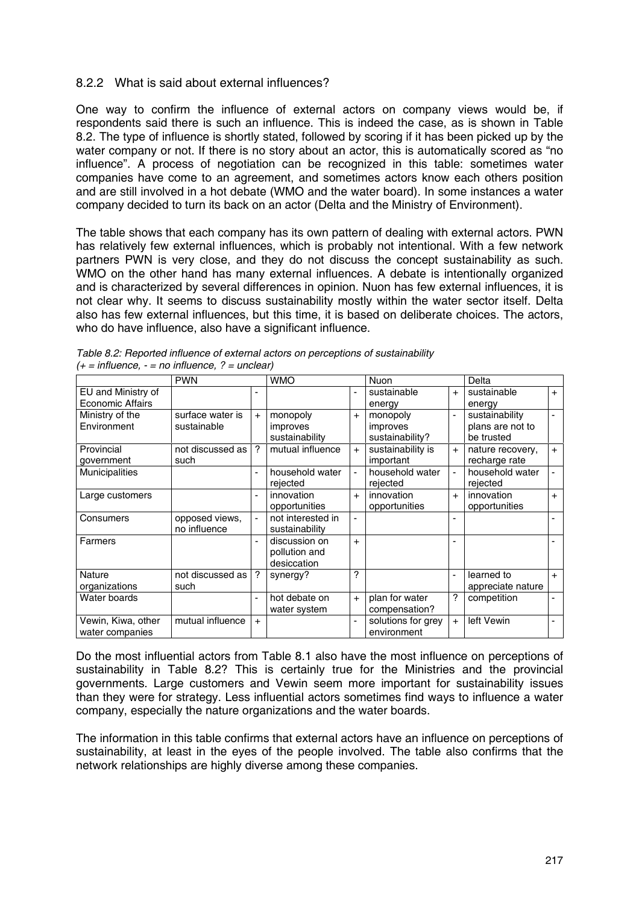### 8.2.2 What is said about external influences?

One way to confirm the influence of external actors on company views would be, if respondents said there is such an influence. This is indeed the case, as is shown in Table 8.2. The type of influence is shortly stated, followed by scoring if it has been picked up by the water company or not. If there is no story about an actor, this is automatically scored as "no influence". A process of negotiation can be recognized in this table: sometimes water companies have come to an agreement, and sometimes actors know each others position and are still involved in a hot debate (WMO and the water board). In some instances a water company decided to turn its back on an actor (Delta and the Ministry of Environment).

The table shows that each company has its own pattern of dealing with external actors. PWN has relatively few external influences, which is probably not intentional. With a few network partners PWN is very close, and they do not discuss the concept sustainability as such. WMO on the other hand has many external influences. A debate is intentionally organized and is characterized by several differences in opinion. Nuon has few external influences, it is not clear why. It seems to discuss sustainability mostly within the water sector itself. Delta also has few external influences, but this time, it is based on deliberate choices. The actors, who do have influence, also have a significant influence.

|                                               | <b>PWN</b>                      |                | <b>WMO</b>                                    |                | <b>Nuon</b>                             |                | Delta                                            |                |
|-----------------------------------------------|---------------------------------|----------------|-----------------------------------------------|----------------|-----------------------------------------|----------------|--------------------------------------------------|----------------|
| EU and Ministry of<br><b>Economic Affairs</b> |                                 |                |                                               |                | sustainable<br>energy                   | $+$            | sustainable<br>energy                            | $+$            |
| Ministry of the<br>Environment                | surface water is<br>sustainable | $+$            | monopoly<br>improves<br>sustainability        | $+$            | monopoly<br>improves<br>sustainability? | $\blacksquare$ | sustainability<br>plans are not to<br>be trusted | $\blacksquare$ |
| Provincial<br>government                      | not discussed as<br>such        | $\gamma$       | mutual influence                              | $+$            | sustainability is<br>important          | $+$            | nature recovery,<br>recharge rate                | $+$            |
| <b>Municipalities</b>                         |                                 |                | household water<br>rejected                   | $\blacksquare$ | household water<br>rejected             | $\blacksquare$ | household water<br>rejected                      | $\blacksquare$ |
| Large customers                               |                                 |                | innovation<br>opportunities                   | $+$            | innovation<br>opportunities             | $+$            | innovation<br>opportunities                      | $+$            |
| Consumers                                     | opposed views,<br>no influence  |                | not interested in<br>sustainability           |                |                                         |                |                                                  |                |
| Farmers                                       |                                 |                | discussion on<br>pollution and<br>desiccation | $\ddot{}$      |                                         | ٠              |                                                  |                |
| Nature<br>organizations                       | not discussed as<br>such        | ?              | synergy?                                      | 7              |                                         | ä,             | learned to<br>appreciate nature                  | $+$            |
| Water boards                                  |                                 | $\blacksquare$ | hot debate on<br>water system                 | $+$            | plan for water<br>compensation?         | ?              | competition                                      |                |
| Vewin, Kiwa, other<br>water companies         | mutual influence                | $+$            |                                               |                | solutions for grey<br>environment       | $+$            | left Vewin                                       |                |

*Table 8.2: Reported influence of external actors on perceptions of sustainability (+ = influence, - = no influence, ? = unclear)*

Do the most influential actors from Table 8.1 also have the most influence on perceptions of sustainability in Table 8.2? This is certainly true for the Ministries and the provincial governments. Large customers and Vewin seem more important for sustainability issues than they were for strategy. Less influential actors sometimes find ways to influence a water company, especially the nature organizations and the water boards.

The information in this table confirms that external actors have an influence on perceptions of sustainability, at least in the eyes of the people involved. The table also confirms that the network relationships are highly diverse among these companies.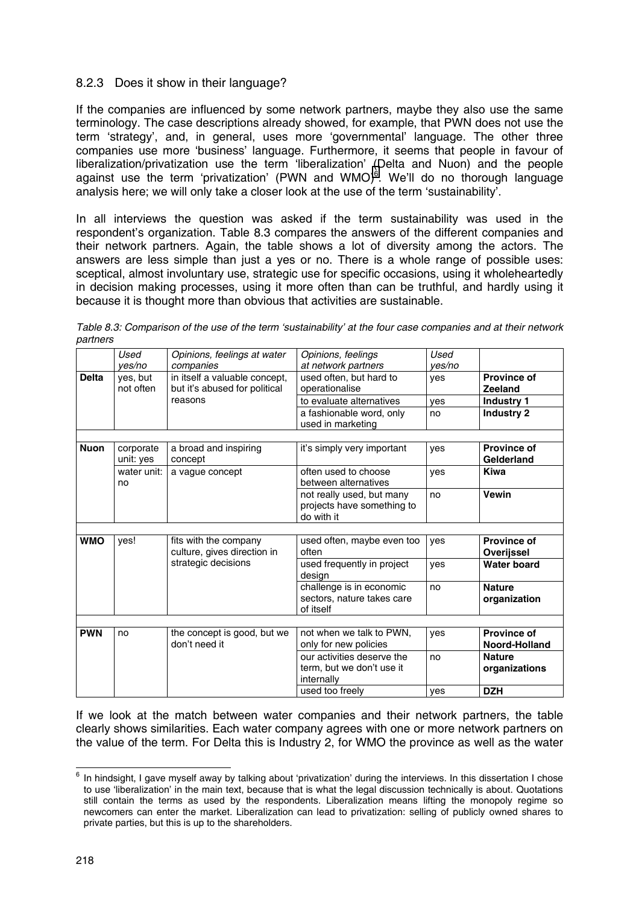### 8.2.3 Does it show in their language?

If the companies are influenced by some network partners, maybe they also use the same terminology. The case descriptions already showed, for example, that PWN does not use the term 'strategy', and, in general, uses more 'governmental' language. The other three companies use more 'business' language. Furthermore, it seems that people in favour of liberalization/privatization use the term 'liberalization' (Delta and Nuon) and the people against use the term 'privatization' (PWN and WMO)<sup>6</sup>. We'll do no thorough language analysis here; we will only take a closer look at the use of the term 'sustainability'.

In all interviews the question was asked if the term sustainability was used in the respondent's organization. Table 8.3 compares the answers of the different companies and their network partners. Again, the table shows a lot of diversity among the actors. The answers are less simple than just a yes or no. There is a whole range of possible uses: sceptical, almost involuntary use, strategic use for specific occasions, using it wholeheartedly in decision making processes, using it more often than can be truthful, and hardly using it because it is thought more than obvious that activities are sustainable.

| Table 8.3: Comparison of the use of the term 'sustainability' at the four case companies and at their network |  |  |
|---------------------------------------------------------------------------------------------------------------|--|--|
| partners                                                                                                      |  |  |

|              | Used<br>ves/no         | Opinions, feelings at water<br>companies                       | Opinions, feelings<br>at network partners                             | Used<br>ves/no |                                  |
|--------------|------------------------|----------------------------------------------------------------|-----------------------------------------------------------------------|----------------|----------------------------------|
| <b>Delta</b> | yes, but<br>not often  | in itself a valuable concept,<br>but it's abused for political | used often, but hard to<br>operationalise                             | yes            | <b>Province of</b><br>Zeeland    |
|              |                        | reasons                                                        | to evaluate alternatives                                              | yes            | <b>Industry 1</b>                |
|              |                        |                                                                | a fashionable word, only<br>used in marketing                         | no             | <b>Industry 2</b>                |
|              |                        |                                                                |                                                                       |                |                                  |
| <b>Nuon</b>  | corporate<br>unit: yes | a broad and inspiring<br>concept                               | it's simply very important                                            | yes            | <b>Province of</b><br>Gelderland |
|              | water unit:<br>no      | a vague concept                                                | often used to choose<br>between alternatives                          | yes            | <b>Kiwa</b>                      |
|              |                        |                                                                | not really used, but many<br>projects have something to<br>do with it | no             | <b>Vewin</b>                     |
|              |                        |                                                                |                                                                       |                |                                  |
| <b>WMO</b>   | yes!                   | fits with the company<br>culture, gives direction in           | used often, maybe even too<br>often                                   | yes            | <b>Province of</b><br>Overijssel |
|              |                        | strategic decisions                                            | used frequently in project<br>design                                  | ves            | <b>Water board</b>               |
|              |                        |                                                                | challenge is in economic<br>sectors, nature takes care<br>of itself   | no             | <b>Nature</b><br>organization    |
|              |                        |                                                                |                                                                       |                |                                  |
| <b>PWN</b>   | no                     | the concept is good, but we<br>don't need it                   | not when we talk to PWN.<br>only for new policies                     | yes            | Province of<br>Noord-Holland     |
|              |                        |                                                                | our activities deserve the<br>term, but we don't use it               | no             | <b>Nature</b><br>organizations   |
|              |                        |                                                                | internally<br>used too freely                                         | ves            | <b>DZH</b>                       |

If we look at the match between water companies and their network partners, the table clearly shows similarities. Each water company agrees with one or more network partners on the value of the term. For Delta this is Industry 2, for WMO the province as well as the water

l

 $^6$  In hindsight, I gave myself away by talking about 'privatization' during the interviews. In this dissertation I chose to use 'liberalization' in the main text, because that is what the legal discussion technically is about. Quotations still contain the terms as used by the respondents. Liberalization means lifting the monopoly regime so newcomers can enter the market. Liberalization can lead to privatization: selling of publicly owned shares to private parties, but this is up to the shareholders.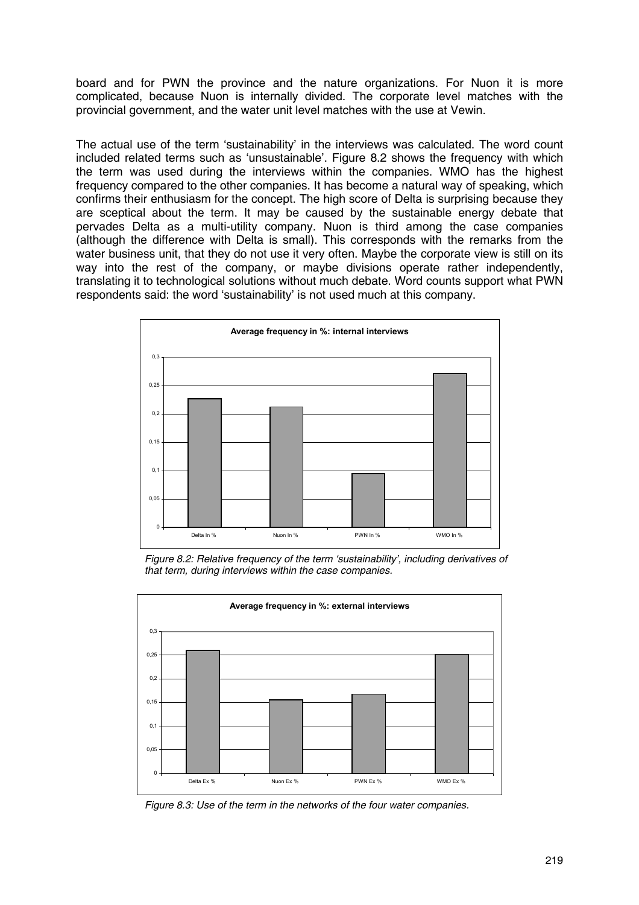board and for PWN the province and the nature organizations. For Nuon it is more complicated, because Nuon is internally divided. The corporate level matches with the provincial government, and the water unit level matches with the use at Vewin.

The actual use of the term 'sustainability' in the interviews was calculated. The word count included related terms such as 'unsustainable'. Figure 8.2 shows the frequency with which the term was used during the interviews within the companies. WMO has the highest frequency compared to the other companies. It has become a natural way of speaking, which confirms their enthusiasm for the concept. The high score of Delta is surprising because they are sceptical about the term. It may be caused by the sustainable energy debate that pervades Delta as a multi-utility company. Nuon is third among the case companies (although the difference with Delta is small). This corresponds with the remarks from the water business unit, that they do not use it very often. Maybe the corporate view is still on its way into the rest of the company, or maybe divisions operate rather independently, translating it to technological solutions without much debate. Word counts support what PWN respondents said: the word 'sustainability' is not used much at this company.



*Figure 8.2: Relative frequency of the term 'sustainability', including derivatives of that term, during interviews within the case companies.*



*Figure 8.3: Use of the term in the networks of the four water companies.*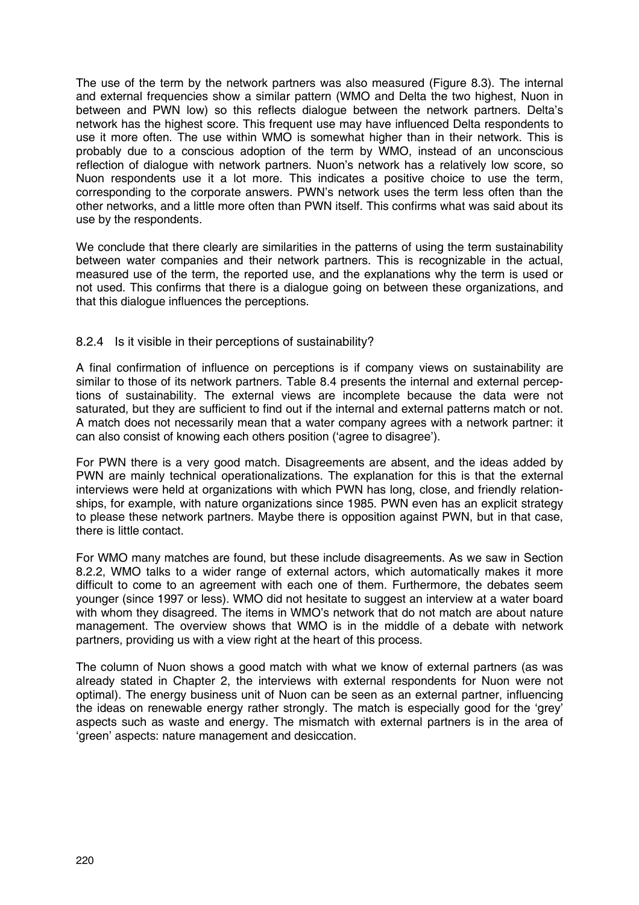The use of the term by the network partners was also measured (Figure 8.3). The internal and external frequencies show a similar pattern (WMO and Delta the two highest, Nuon in between and PWN low) so this reflects dialogue between the network partners. Delta's network has the highest score. This frequent use may have influenced Delta respondents to use it more often. The use within WMO is somewhat higher than in their network. This is probably due to a conscious adoption of the term by WMO, instead of an unconscious reflection of dialogue with network partners. Nuon's network has a relatively low score, so Nuon respondents use it a lot more. This indicates a positive choice to use the term, corresponding to the corporate answers. PWN's network uses the term less often than the other networks, and a little more often than PWN itself. This confirms what was said about its use by the respondents.

We conclude that there clearly are similarities in the patterns of using the term sustainability between water companies and their network partners. This is recognizable in the actual, measured use of the term, the reported use, and the explanations why the term is used or not used. This confirms that there is a dialogue going on between these organizations, and that this dialogue influences the perceptions.

#### 8.2.4 Is it visible in their perceptions of sustainability?

A final confirmation of influence on perceptions is if company views on sustainability are similar to those of its network partners. Table 8.4 presents the internal and external perceptions of sustainability. The external views are incomplete because the data were not saturated, but they are sufficient to find out if the internal and external patterns match or not. A match does not necessarily mean that a water company agrees with a network partner: it can also consist of knowing each others position ('agree to disagree').

For PWN there is a very good match. Disagreements are absent, and the ideas added by PWN are mainly technical operationalizations. The explanation for this is that the external interviews were held at organizations with which PWN has long, close, and friendly relationships, for example, with nature organizations since 1985. PWN even has an explicit strategy to please these network partners. Maybe there is opposition against PWN, but in that case, there is little contact.

For WMO many matches are found, but these include disagreements. As we saw in Section 8.2.2, WMO talks to a wider range of external actors, which automatically makes it more difficult to come to an agreement with each one of them. Furthermore, the debates seem younger (since 1997 or less). WMO did not hesitate to suggest an interview at a water board with whom they disagreed. The items in WMO's network that do not match are about nature management. The overview shows that WMO is in the middle of a debate with network partners, providing us with a view right at the heart of this process.

The column of Nuon shows a good match with what we know of external partners (as was already stated in Chapter 2, the interviews with external respondents for Nuon were not optimal). The energy business unit of Nuon can be seen as an external partner, influencing the ideas on renewable energy rather strongly. The match is especially good for the 'grey' aspects such as waste and energy. The mismatch with external partners is in the area of 'green' aspects: nature management and desiccation.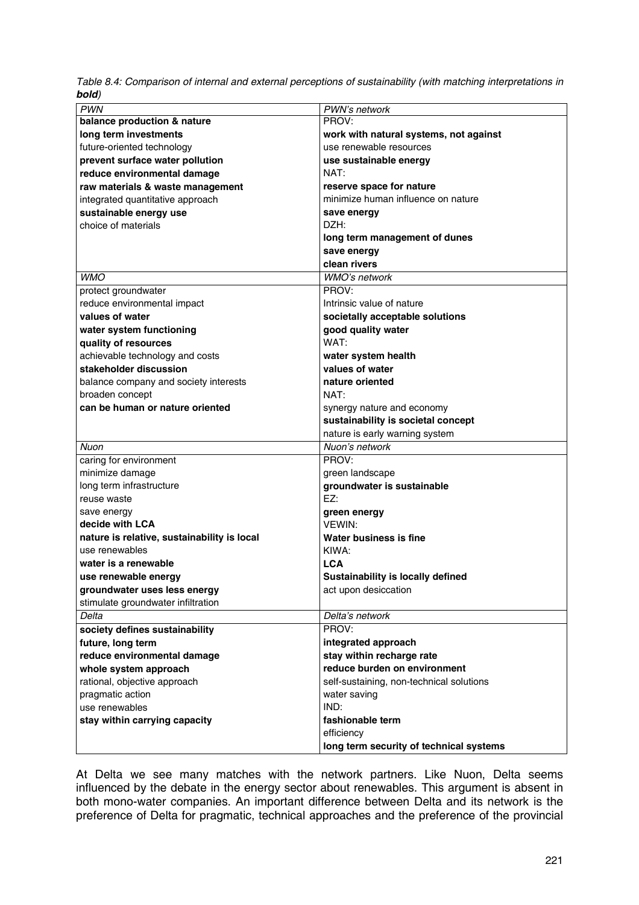|       |  |  |  | Table 8.4: Comparison of internal and external perceptions of sustainability (with matching interpretations in |
|-------|--|--|--|----------------------------------------------------------------------------------------------------------------|
| bold) |  |  |  |                                                                                                                |

| <b>PWN</b>                                  | PWN's network                            |
|---------------------------------------------|------------------------------------------|
| balance production & nature                 | PROV:                                    |
| long term investments                       | work with natural systems, not against   |
| future-oriented technology                  | use renewable resources                  |
| prevent surface water pollution             | use sustainable energy                   |
| reduce environmental damage                 | NAT:                                     |
| raw materials & waste management            | reserve space for nature                 |
| integrated quantitative approach            | minimize human influence on nature       |
| sustainable energy use                      | save energy                              |
| choice of materials                         | DZH:                                     |
|                                             | long term management of dunes            |
|                                             | save energy                              |
|                                             | clean rivers                             |
| <b>WMO</b>                                  | <b>WMO's network</b>                     |
| protect groundwater                         | PROV:                                    |
| reduce environmental impact                 | Intrinsic value of nature                |
| values of water                             | societally acceptable solutions          |
| water system functioning                    | good quality water                       |
| quality of resources                        | WAT:                                     |
| achievable technology and costs             | water system health                      |
| stakeholder discussion                      | values of water                          |
| balance company and society interests       | nature oriented                          |
| broaden concept                             | NAT:                                     |
| can be human or nature oriented             | synergy nature and economy               |
|                                             | sustainability is societal concept       |
|                                             | nature is early warning system           |
| Nuon                                        | Nuon's network                           |
| caring for environment                      | PROV:                                    |
| minimize damage                             | green landscape                          |
| long term infrastructure                    | groundwater is sustainable               |
| reuse waste                                 | EZ:                                      |
| save energy                                 | green energy                             |
| decide with LCA                             | VEWIN:                                   |
| nature is relative, sustainability is local | Water business is fine                   |
| use renewables                              | KIWA:                                    |
| water is a renewable                        | <b>LCA</b>                               |
| use renewable energy                        | Sustainability is locally defined        |
| groundwater uses less energy                | act upon desiccation                     |
| stimulate groundwater infiltration          |                                          |
| Delta                                       | Delta's network                          |
|                                             | PROV:                                    |
| society defines sustainability              |                                          |
| future, long term                           | integrated approach                      |
| reduce environmental damage                 | stay within recharge rate                |
| whole system approach                       | reduce burden on environment             |
| rational, objective approach                | self-sustaining, non-technical solutions |
| pragmatic action                            | water saving                             |
| use renewables                              | IND:                                     |
| stay within carrying capacity               | fashionable term<br>efficiency           |
|                                             | long term security of technical systems  |

At Delta we see many matches with the network partners. Like Nuon, Delta seems influenced by the debate in the energy sector about renewables. This argument is absent in both mono-water companies. An important difference between Delta and its network is the preference of Delta for pragmatic, technical approaches and the preference of the provincial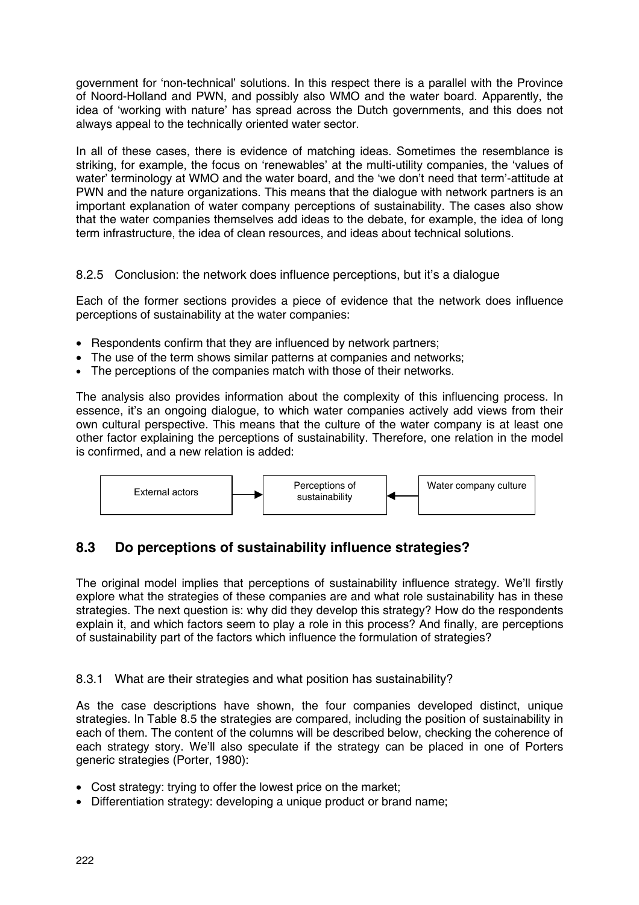government for 'non-technical' solutions. In this respect there is a parallel with the Province of Noord-Holland and PWN, and possibly also WMO and the water board. Apparently, the idea of 'working with nature' has spread across the Dutch governments, and this does not always appeal to the technically oriented water sector.

In all of these cases, there is evidence of matching ideas. Sometimes the resemblance is striking, for example, the focus on 'renewables' at the multi-utility companies, the 'values of water' terminology at WMO and the water board, and the 'we don't need that term'-attitude at PWN and the nature organizations. This means that the dialogue with network partners is an important explanation of water company perceptions of sustainability. The cases also show that the water companies themselves add ideas to the debate, for example, the idea of long term infrastructure, the idea of clean resources, and ideas about technical solutions.

### 8.2.5 Conclusion: the network does influence perceptions, but it's a dialogue

Each of the former sections provides a piece of evidence that the network does influence perceptions of sustainability at the water companies:

- Respondents confirm that they are influenced by network partners;
- The use of the term shows similar patterns at companies and networks;
- The perceptions of the companies match with those of their networks.

The analysis also provides information about the complexity of this influencing process. In essence, it's an ongoing dialogue, to which water companies actively add views from their own cultural perspective. This means that the culture of the water company is at least one other factor explaining the perceptions of sustainability. Therefore, one relation in the model is confirmed, and a new relation is added:



## **8.3 Do perceptions of sustainability influence strategies?**

The original model implies that perceptions of sustainability influence strategy. We'll firstly explore what the strategies of these companies are and what role sustainability has in these strategies. The next question is: why did they develop this strategy? How do the respondents explain it, and which factors seem to play a role in this process? And finally, are perceptions of sustainability part of the factors which influence the formulation of strategies?

#### 8.3.1 What are their strategies and what position has sustainability?

As the case descriptions have shown, the four companies developed distinct, unique strategies. In Table 8.5 the strategies are compared, including the position of sustainability in each of them. The content of the columns will be described below, checking the coherence of each strategy story. We'll also speculate if the strategy can be placed in one of Porters generic strategies (Porter, 1980):

- Cost strategy: trying to offer the lowest price on the market;
- Differentiation strategy: developing a unique product or brand name;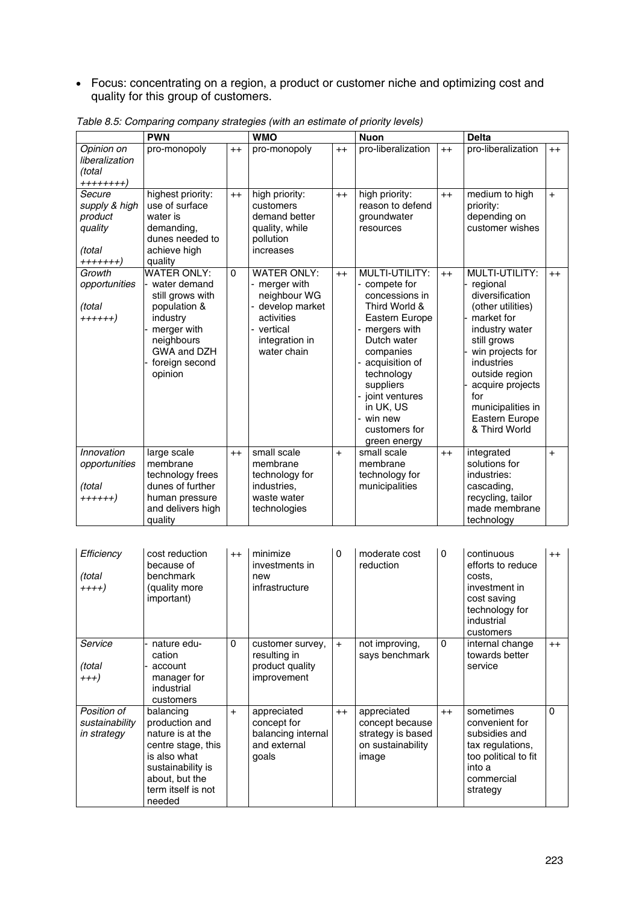• Focus: concentrating on a region, a product or customer niche and optimizing cost and quality for this group of customers.

|                                                                     | <b>PWN</b>                                                                                                                                                  |          | <b>WMO</b>                                                                                                                           |      | <b>Nuon</b>                                                                                                                                                                                                                                                  |         | <b>Delta</b>                                                                                                                                                                                                                                             |      |
|---------------------------------------------------------------------|-------------------------------------------------------------------------------------------------------------------------------------------------------------|----------|--------------------------------------------------------------------------------------------------------------------------------------|------|--------------------------------------------------------------------------------------------------------------------------------------------------------------------------------------------------------------------------------------------------------------|---------|----------------------------------------------------------------------------------------------------------------------------------------------------------------------------------------------------------------------------------------------------------|------|
| Opinion on<br>liberalization<br>(total<br>++++++++)                 | pro-monopoly                                                                                                                                                | $++$     | pro-monopoly                                                                                                                         | $++$ | pro-liberalization                                                                                                                                                                                                                                           | $++$    | pro-liberalization                                                                                                                                                                                                                                       | $++$ |
| Secure<br>supply & high<br>product<br>quality<br>(total<br>+++++++) | highest priority:<br>use of surface<br>water is<br>demanding,<br>dunes needed to<br>achieve high<br>quality                                                 | $++$     | high priority:<br>customers<br>demand better<br>quality, while<br>pollution<br>increases                                             | $++$ | high priority:<br>reason to defend<br>groundwater<br>resources                                                                                                                                                                                               | $++$    | medium to high<br>priority:<br>depending on<br>customer wishes                                                                                                                                                                                           | $+$  |
| Growth<br>opportunities<br>(total<br>++++++)                        | <b>WATER ONLY:</b><br>water demand<br>still grows with<br>population &<br>industry<br>merger with<br>neighbours<br>GWA and DZH<br>foreign second<br>opinion | $\Omega$ | <b>WATER ONLY:</b><br>- merger with<br>neighbour WG<br>- develop market<br>activities<br>- vertical<br>integration in<br>water chain | $++$ | MULTI-UTILITY:<br>- compete for<br>concessions in<br>Third World &<br>Eastern Europe<br>mergers with<br>Dutch water<br>companies<br>acquisition of<br>technology<br>suppliers<br>- joint ventures<br>in UK, US<br>- win new<br>customers for<br>green energy | $++$    | MULTI-UTILITY:<br>regional<br>diversification<br>(other utilities)<br>market for<br>industry water<br>still grows<br>win projects for<br>industries<br>outside region<br>acquire projects<br>for<br>municipalities in<br>Eastern Europe<br>& Third World | $++$ |
| Innovation<br>opportunities<br>(total<br>++++++)                    | large scale<br>membrane<br>technology frees<br>dunes of further<br>human pressure<br>and delivers high<br>quality                                           | $++$     | small scale<br>membrane<br>technology for<br>industries.<br>waste water<br>technologies                                              | $+$  | small scale<br>membrane<br>technology for<br>municipalities                                                                                                                                                                                                  | $^{++}$ | integrated<br>solutions for<br>industries:<br>cascading.<br>recycling, tailor<br>made membrane<br>technology                                                                                                                                             | $+$  |

*Table 8.5: Comparing company strategies (with an estimate of priority levels)*

| Efficiencv<br>(total<br>$+++)$               | cost reduction<br>because of<br>benchmark<br>(quality more<br>important)                                                                                     | $^{++}$  | minimize<br>investments in<br>new<br>infrastructure                       | $\mathbf{0}$ | moderate cost<br>reduction                                                        | $\Omega$ | continuous<br>efforts to reduce<br>costs.<br>investment in<br>cost saving<br>technology for<br>industrial<br>customers       | $^{++}$  |
|----------------------------------------------|--------------------------------------------------------------------------------------------------------------------------------------------------------------|----------|---------------------------------------------------------------------------|--------------|-----------------------------------------------------------------------------------|----------|------------------------------------------------------------------------------------------------------------------------------|----------|
| Service<br>(total<br>$^{+++}$                | nature edu-<br>cation<br>account<br>manager for<br>industrial<br>customers                                                                                   | $\Omega$ | customer survey,<br>resulting in<br>product quality<br>improvement        | $+$          | not improving,<br>says benchmark                                                  | 0        | internal change<br>towards better<br>service                                                                                 | $++$     |
| Position of<br>sustainability<br>in strategy | balancing<br>production and<br>nature is at the<br>centre stage, this<br>is also what<br>sustainability is<br>about, but the<br>term itself is not<br>needed | $+$      | appreciated<br>concept for<br>balancing internal<br>and external<br>goals | $++$         | appreciated<br>concept because<br>strategy is based<br>on sustainability<br>image | $^{++}$  | sometimes<br>convenient for<br>subsidies and<br>tax regulations,<br>too political to fit<br>into a<br>commercial<br>strategy | $\Omega$ |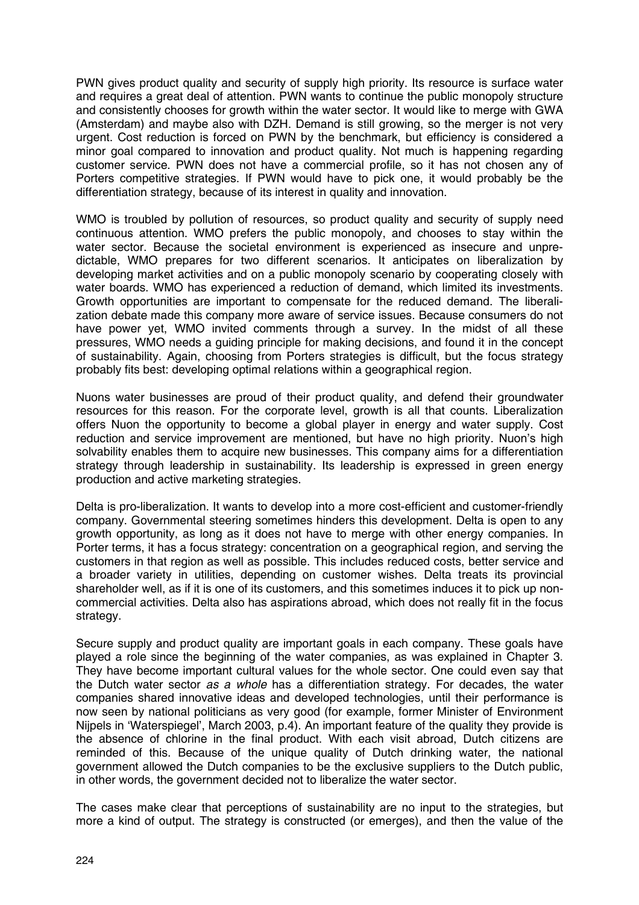PWN gives product quality and security of supply high priority. Its resource is surface water and requires a great deal of attention. PWN wants to continue the public monopoly structure and consistently chooses for growth within the water sector. It would like to merge with GWA (Amsterdam) and maybe also with DZH. Demand is still growing, so the merger is not very urgent. Cost reduction is forced on PWN by the benchmark, but efficiency is considered a minor goal compared to innovation and product quality. Not much is happening regarding customer service. PWN does not have a commercial profile, so it has not chosen any of Porters competitive strategies. If PWN would have to pick one, it would probably be the differentiation strategy, because of its interest in quality and innovation.

WMO is troubled by pollution of resources, so product quality and security of supply need continuous attention. WMO prefers the public monopoly, and chooses to stay within the water sector. Because the societal environment is experienced as insecure and unpredictable, WMO prepares for two different scenarios. It anticipates on liberalization by developing market activities and on a public monopoly scenario by cooperating closely with water boards. WMO has experienced a reduction of demand, which limited its investments. Growth opportunities are important to compensate for the reduced demand. The liberalization debate made this company more aware of service issues. Because consumers do not have power yet, WMO invited comments through a survey. In the midst of all these pressures, WMO needs a guiding principle for making decisions, and found it in the concept of sustainability. Again, choosing from Porters strategies is difficult, but the focus strategy probably fits best: developing optimal relations within a geographical region.

Nuons water businesses are proud of their product quality, and defend their groundwater resources for this reason. For the corporate level, growth is all that counts. Liberalization offers Nuon the opportunity to become a global player in energy and water supply. Cost reduction and service improvement are mentioned, but have no high priority. Nuon's high solvability enables them to acquire new businesses. This company aims for a differentiation strategy through leadership in sustainability. Its leadership is expressed in green energy production and active marketing strategies.

Delta is pro-liberalization. It wants to develop into a more cost-efficient and customer-friendly company. Governmental steering sometimes hinders this development. Delta is open to any growth opportunity, as long as it does not have to merge with other energy companies. In Porter terms, it has a focus strategy: concentration on a geographical region, and serving the customers in that region as well as possible. This includes reduced costs, better service and a broader variety in utilities, depending on customer wishes. Delta treats its provincial shareholder well, as if it is one of its customers, and this sometimes induces it to pick up noncommercial activities. Delta also has aspirations abroad, which does not really fit in the focus strategy.

Secure supply and product quality are important goals in each company. These goals have played a role since the beginning of the water companies, as was explained in Chapter 3. They have become important cultural values for the whole sector. One could even say that the Dutch water sector *as a whole* has a differentiation strategy. For decades, the water companies shared innovative ideas and developed technologies, until their performance is now seen by national politicians as very good (for example, former Minister of Environment Nijpels in 'Waterspiegel', March 2003, p.4). An important feature of the quality they provide is the absence of chlorine in the final product. With each visit abroad, Dutch citizens are reminded of this. Because of the unique quality of Dutch drinking water, the national government allowed the Dutch companies to be the exclusive suppliers to the Dutch public, in other words, the government decided not to liberalize the water sector.

The cases make clear that perceptions of sustainability are no input to the strategies, but more a kind of output. The strategy is constructed (or emerges), and then the value of the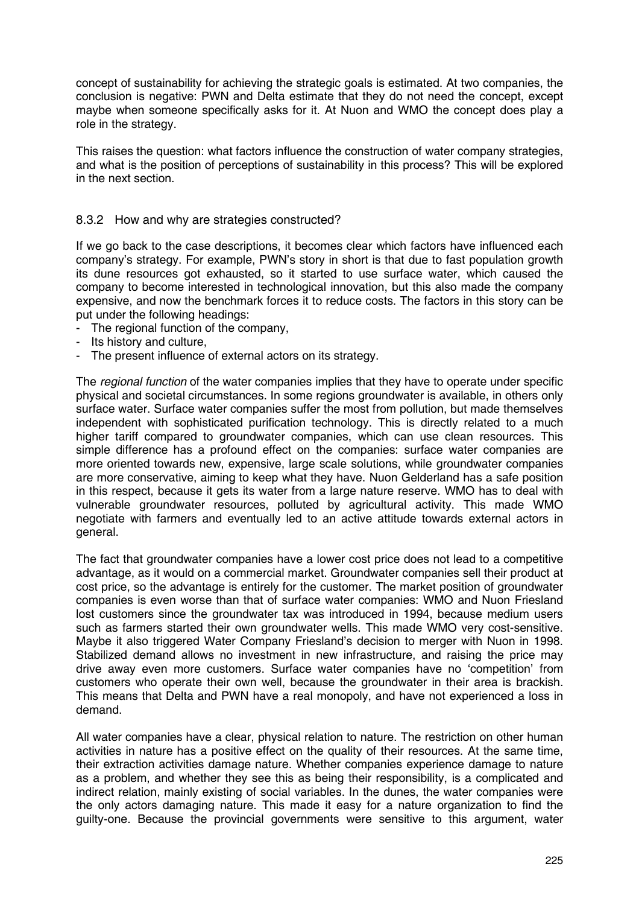concept of sustainability for achieving the strategic goals is estimated. At two companies, the conclusion is negative: PWN and Delta estimate that they do not need the concept, except maybe when someone specifically asks for it. At Nuon and WMO the concept does play a role in the strategy.

This raises the question: what factors influence the construction of water company strategies, and what is the position of perceptions of sustainability in this process? This will be explored in the next section.

#### 8.3.2 How and why are strategies constructed?

If we go back to the case descriptions, it becomes clear which factors have influenced each company's strategy. For example, PWN's story in short is that due to fast population growth its dune resources got exhausted, so it started to use surface water, which caused the company to become interested in technological innovation, but this also made the company expensive, and now the benchmark forces it to reduce costs. The factors in this story can be put under the following headings:

- The regional function of the company,
- Its history and culture.
- The present influence of external actors on its strategy.

The *regional function* of the water companies implies that they have to operate under specific physical and societal circumstances. In some regions groundwater is available, in others only surface water. Surface water companies suffer the most from pollution, but made themselves independent with sophisticated purification technology. This is directly related to a much higher tariff compared to groundwater companies, which can use clean resources. This simple difference has a profound effect on the companies: surface water companies are more oriented towards new, expensive, large scale solutions, while groundwater companies are more conservative, aiming to keep what they have. Nuon Gelderland has a safe position in this respect, because it gets its water from a large nature reserve. WMO has to deal with vulnerable groundwater resources, polluted by agricultural activity. This made WMO negotiate with farmers and eventually led to an active attitude towards external actors in general.

The fact that groundwater companies have a lower cost price does not lead to a competitive advantage, as it would on a commercial market. Groundwater companies sell their product at cost price, so the advantage is entirely for the customer. The market position of groundwater companies is even worse than that of surface water companies: WMO and Nuon Friesland lost customers since the groundwater tax was introduced in 1994, because medium users such as farmers started their own groundwater wells. This made WMO very cost-sensitive. Maybe it also triggered Water Company Friesland's decision to merger with Nuon in 1998. Stabilized demand allows no investment in new infrastructure, and raising the price may drive away even more customers. Surface water companies have no 'competition' from customers who operate their own well, because the groundwater in their area is brackish. This means that Delta and PWN have a real monopoly, and have not experienced a loss in demand.

All water companies have a clear, physical relation to nature. The restriction on other human activities in nature has a positive effect on the quality of their resources. At the same time, their extraction activities damage nature. Whether companies experience damage to nature as a problem, and whether they see this as being their responsibility, is a complicated and indirect relation, mainly existing of social variables. In the dunes, the water companies were the only actors damaging nature. This made it easy for a nature organization to find the guilty-one. Because the provincial governments were sensitive to this argument, water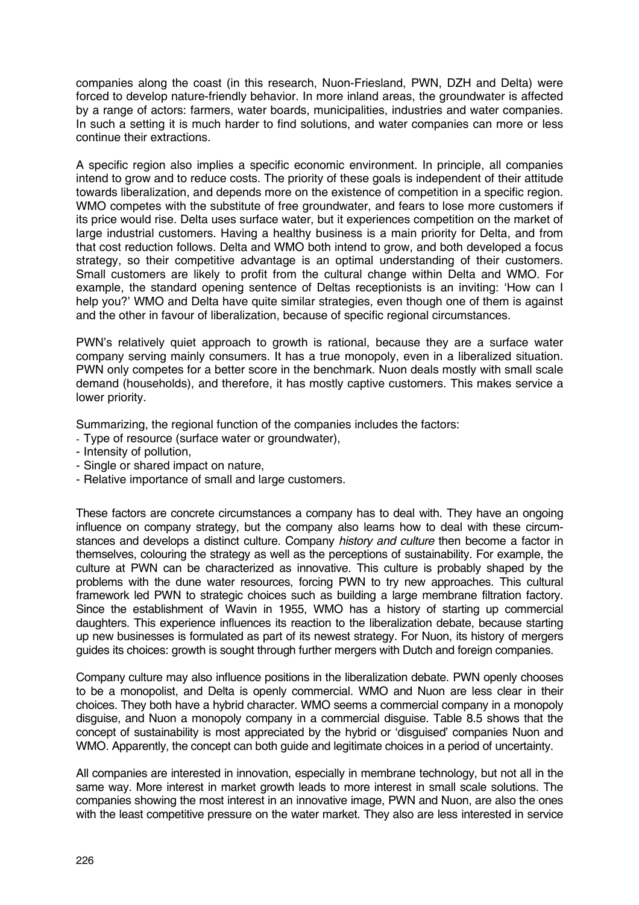companies along the coast (in this research, Nuon-Friesland, PWN, DZH and Delta) were forced to develop nature-friendly behavior. In more inland areas, the groundwater is affected by a range of actors: farmers, water boards, municipalities, industries and water companies. In such a setting it is much harder to find solutions, and water companies can more or less continue their extractions.

A specific region also implies a specific economic environment. In principle, all companies intend to grow and to reduce costs. The priority of these goals is independent of their attitude towards liberalization, and depends more on the existence of competition in a specific region. WMO competes with the substitute of free groundwater, and fears to lose more customers if its price would rise. Delta uses surface water, but it experiences competition on the market of large industrial customers. Having a healthy business is a main priority for Delta, and from that cost reduction follows. Delta and WMO both intend to grow, and both developed a focus strategy, so their competitive advantage is an optimal understanding of their customers. Small customers are likely to profit from the cultural change within Delta and WMO. For example, the standard opening sentence of Deltas receptionists is an inviting: 'How can I help you?' WMO and Delta have quite similar strategies, even though one of them is against and the other in favour of liberalization, because of specific regional circumstances.

PWN's relatively quiet approach to growth is rational, because they are a surface water company serving mainly consumers. It has a true monopoly, even in a liberalized situation. PWN only competes for a better score in the benchmark. Nuon deals mostly with small scale demand (households), and therefore, it has mostly captive customers. This makes service a lower priority.

Summarizing, the regional function of the companies includes the factors:

- Type of resource (surface water or groundwater),
- Intensity of pollution,
- Single or shared impact on nature,
- Relative importance of small and large customers.

These factors are concrete circumstances a company has to deal with. They have an ongoing influence on company strategy, but the company also learns how to deal with these circumstances and develops a distinct culture. Company *history and culture* then become a factor in themselves, colouring the strategy as well as the perceptions of sustainability. For example, the culture at PWN can be characterized as innovative. This culture is probably shaped by the problems with the dune water resources, forcing PWN to try new approaches. This cultural framework led PWN to strategic choices such as building a large membrane filtration factory. Since the establishment of Wavin in 1955, WMO has a history of starting up commercial daughters. This experience influences its reaction to the liberalization debate, because starting up new businesses is formulated as part of its newest strategy. For Nuon, its history of mergers guides its choices: growth is sought through further mergers with Dutch and foreign companies.

Company culture may also influence positions in the liberalization debate. PWN openly chooses to be a monopolist, and Delta is openly commercial. WMO and Nuon are less clear in their choices. They both have a hybrid character. WMO seems a commercial company in a monopoly disguise, and Nuon a monopoly company in a commercial disguise. Table 8.5 shows that the concept of sustainability is most appreciated by the hybrid or 'disguised' companies Nuon and WMO. Apparently, the concept can both guide and legitimate choices in a period of uncertainty.

All companies are interested in innovation, especially in membrane technology, but not all in the same way. More interest in market growth leads to more interest in small scale solutions. The companies showing the most interest in an innovative image, PWN and Nuon, are also the ones with the least competitive pressure on the water market. They also are less interested in service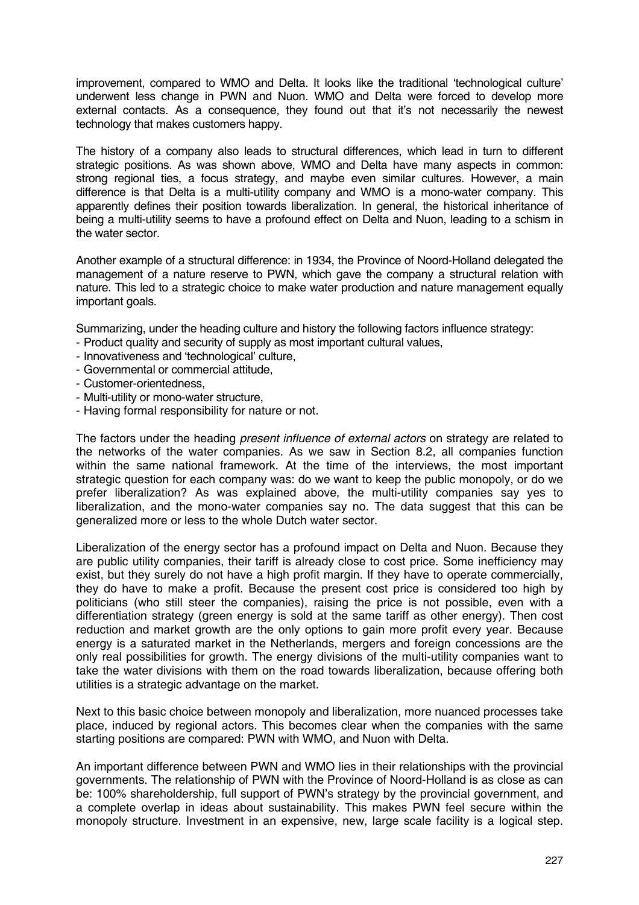improvement, compared to WMO and Delta. It looks like the traditional 'technological culture' underwent less change in PWN and Nuon. WMO and Delta were forced to develop more external contacts. As a consequence, they found out that it's not necessarily the newest technology that makes customers happy.

The history of a company also leads to structural differences, which lead in turn to different strategic positions. As was shown above, WMO and Delta have many aspects in common: strong regional ties, a focus strategy, and maybe even similar cultures. However, a main difference is that Delta is a multi-utility company and WMO is a mono-water company. This apparently defines their position towards liberalization. In general, the historical inheritance of being a multi-utility seems to have a profound effect on Delta and Nuon, leading to a schism in the water sector.

Another example of a structural difference: in 1934, the Province of Noord-Holland delegated the management of a nature reserve to PWN, which gave the company a structural relation with nature. This led to a strategic choice to make water production and nature management equally important goals.

Summarizing, under the heading culture and history the following factors influence strategy:

- Product quality and security of supply as most important cultural values,
- Innovativeness and 'technological' culture,
- Governmental or commercial attitude,
- Customer-orientedness,
- Multi-utility or mono-water structure,
- Having formal responsibility for nature or not.

The factors under the heading *present influence of external actors* on strategy are related to the networks of the water companies. As we saw in Section 8.2, all companies function within the same national framework. At the time of the interviews, the most important strategic question for each company was: do we want to keep the public monopoly, or do we prefer liberalization? As was explained above, the multi-utility companies say yes to liberalization, and the mono-water companies say no. The data suggest that this can be generalized more or less to the whole Dutch water sector.

Liberalization of the energy sector has a profound impact on Delta and Nuon. Because they are public utility companies, their tariff is already close to cost price. Some inefficiency may exist, but they surely do not have a high profit margin. If they have to operate commercially, they do have to make a profit. Because the present cost price is considered too high by politicians (who still steer the companies), raising the price is not possible, even with a differentiation strategy (green energy is sold at the same tariff as other energy). Then cost reduction and market growth are the only options to gain more profit every year. Because energy is a saturated market in the Netherlands, mergers and foreign concessions are the only real possibilities for growth. The energy divisions of the multi-utility companies want to take the water divisions with them on the road towards liberalization, because offering both utilities is a strategic advantage on the market.

Next to this basic choice between monopoly and liberalization, more nuanced processes take place, induced by regional actors. This becomes clear when the companies with the same starting positions are compared: PWN with WMO, and Nuon with Delta.

An important difference between PWN and WMO lies in their relationships with the provincial governments. The relationship of PWN with the Province of Noord-Holland is as close as can be: 100% shareholdership, full support of PWN's strategy by the provincial government, and a complete overlap in ideas about sustainability. This makes PWN feel secure within the monopoly structure. Investment in an expensive, new, large scale facility is a logical step.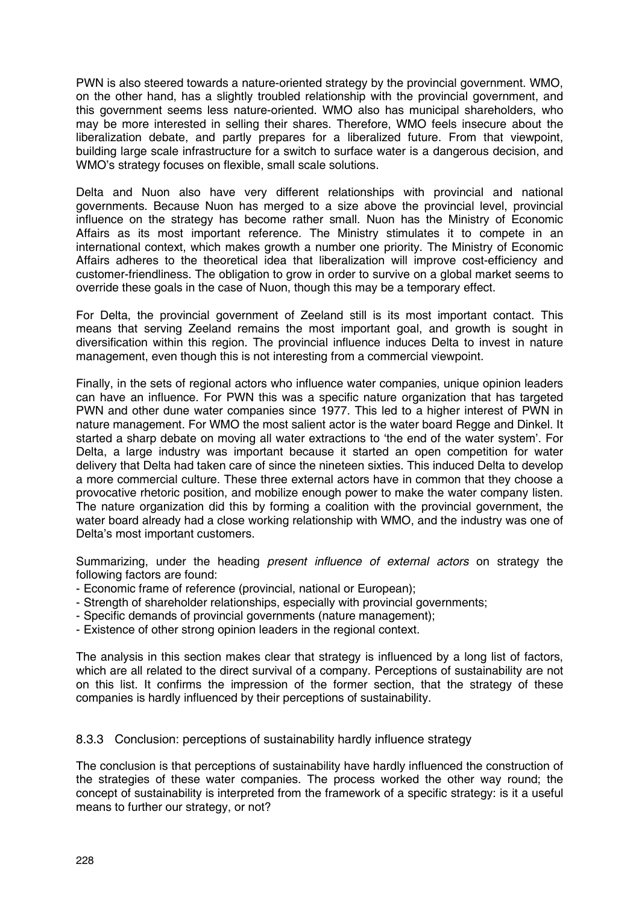PWN is also steered towards a nature-oriented strategy by the provincial government. WMO, on the other hand, has a slightly troubled relationship with the provincial government, and this government seems less nature-oriented. WMO also has municipal shareholders, who may be more interested in selling their shares. Therefore, WMO feels insecure about the liberalization debate, and partly prepares for a liberalized future. From that viewpoint, building large scale infrastructure for a switch to surface water is a dangerous decision, and WMO's strategy focuses on flexible, small scale solutions.

Delta and Nuon also have very different relationships with provincial and national governments. Because Nuon has merged to a size above the provincial level, provincial influence on the strategy has become rather small. Nuon has the Ministry of Economic Affairs as its most important reference. The Ministry stimulates it to compete in an international context, which makes growth a number one priority. The Ministry of Economic Affairs adheres to the theoretical idea that liberalization will improve cost-efficiency and customer-friendliness. The obligation to grow in order to survive on a global market seems to override these goals in the case of Nuon, though this may be a temporary effect.

For Delta, the provincial government of Zeeland still is its most important contact. This means that serving Zeeland remains the most important goal, and growth is sought in diversification within this region. The provincial influence induces Delta to invest in nature management, even though this is not interesting from a commercial viewpoint.

Finally, in the sets of regional actors who influence water companies, unique opinion leaders can have an influence. For PWN this was a specific nature organization that has targeted PWN and other dune water companies since 1977. This led to a higher interest of PWN in nature management. For WMO the most salient actor is the water board Regge and Dinkel. It started a sharp debate on moving all water extractions to 'the end of the water system'. For Delta, a large industry was important because it started an open competition for water delivery that Delta had taken care of since the nineteen sixties. This induced Delta to develop a more commercial culture. These three external actors have in common that they choose a provocative rhetoric position, and mobilize enough power to make the water company listen. The nature organization did this by forming a coalition with the provincial government, the water board already had a close working relationship with WMO, and the industry was one of Delta's most important customers.

Summarizing, under the heading *present influence of external actors* on strategy the following factors are found:

- Economic frame of reference (provincial, national or European);
- Strength of shareholder relationships, especially with provincial governments;
- Specific demands of provincial governments (nature management);
- Existence of other strong opinion leaders in the regional context.

The analysis in this section makes clear that strategy is influenced by a long list of factors, which are all related to the direct survival of a company. Perceptions of sustainability are not on this list. It confirms the impression of the former section, that the strategy of these companies is hardly influenced by their perceptions of sustainability.

8.3.3 Conclusion: perceptions of sustainability hardly influence strategy

The conclusion is that perceptions of sustainability have hardly influenced the construction of the strategies of these water companies. The process worked the other way round; the concept of sustainability is interpreted from the framework of a specific strategy: is it a useful means to further our strategy, or not?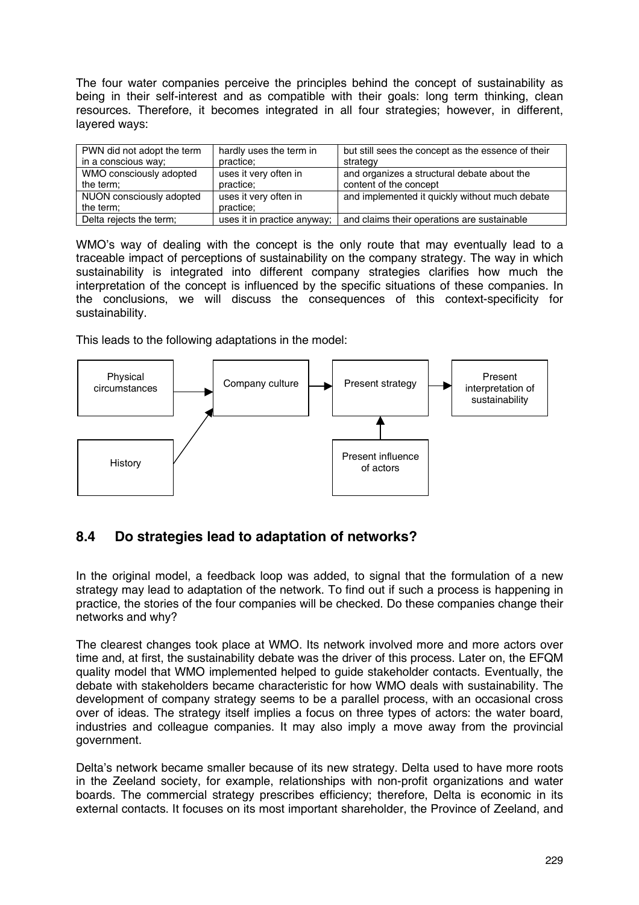The four water companies perceive the principles behind the concept of sustainability as being in their self-interest and as compatible with their goals: long term thinking, clean resources. Therefore, it becomes integrated in all four strategies; however, in different, layered ways:

| PWN did not adopt the term | hardly uses the term in     | but still sees the concept as the essence of their |
|----------------------------|-----------------------------|----------------------------------------------------|
| in a conscious way;        | practice;                   | strategy                                           |
| WMO consciously adopted    | uses it very often in       | and organizes a structural debate about the        |
| the term;                  | practice;                   | content of the concept                             |
| NUON consciously adopted   | uses it very often in       | and implemented it quickly without much debate     |
| the term;                  | practice:                   |                                                    |
| Delta rejects the term;    | uses it in practice anyway; | and claims their operations are sustainable        |

WMO's way of dealing with the concept is the only route that may eventually lead to a traceable impact of perceptions of sustainability on the company strategy. The way in which sustainability is integrated into different company strategies clarifies how much the interpretation of the concept is influenced by the specific situations of these companies. In the conclusions, we will discuss the consequences of this context-specificity for sustainability.

This leads to the following adaptations in the model:



# **8.4 Do strategies lead to adaptation of networks?**

In the original model, a feedback loop was added, to signal that the formulation of a new strategy may lead to adaptation of the network. To find out if such a process is happening in practice, the stories of the four companies will be checked. Do these companies change their networks and why?

The clearest changes took place at WMO. Its network involved more and more actors over time and, at first, the sustainability debate was the driver of this process. Later on, the EFQM quality model that WMO implemented helped to guide stakeholder contacts. Eventually, the debate with stakeholders became characteristic for how WMO deals with sustainability. The development of company strategy seems to be a parallel process, with an occasional cross over of ideas. The strategy itself implies a focus on three types of actors: the water board, industries and colleague companies. It may also imply a move away from the provincial government.

Delta's network became smaller because of its new strategy. Delta used to have more roots in the Zeeland society, for example, relationships with non-profit organizations and water boards. The commercial strategy prescribes efficiency; therefore, Delta is economic in its external contacts. It focuses on its most important shareholder, the Province of Zeeland, and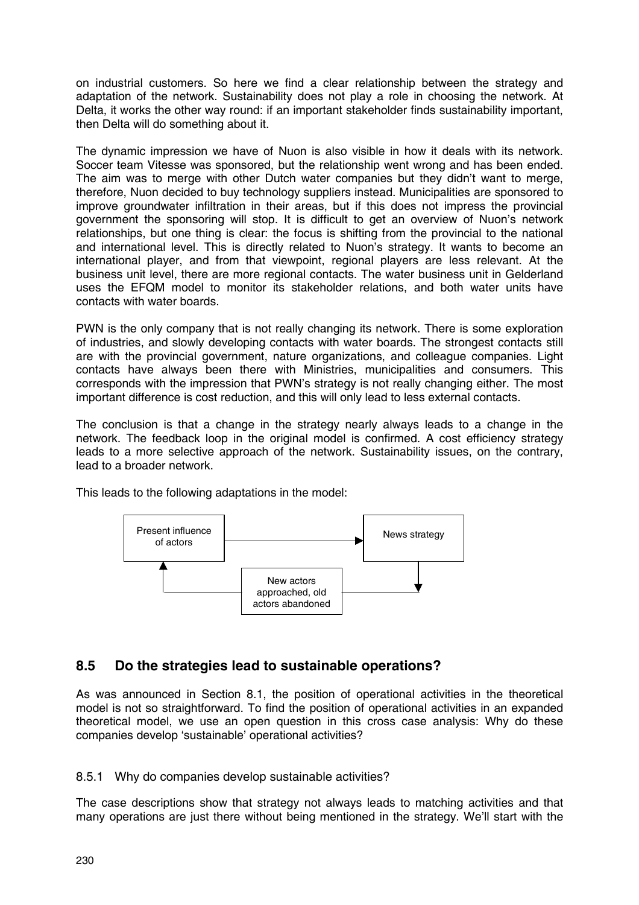on industrial customers. So here we find a clear relationship between the strategy and adaptation of the network. Sustainability does not play a role in choosing the network. At Delta, it works the other way round: if an important stakeholder finds sustainability important, then Delta will do something about it.

The dynamic impression we have of Nuon is also visible in how it deals with its network. Soccer team Vitesse was sponsored, but the relationship went wrong and has been ended. The aim was to merge with other Dutch water companies but they didn't want to merge, therefore, Nuon decided to buy technology suppliers instead. Municipalities are sponsored to improve groundwater infiltration in their areas, but if this does not impress the provincial government the sponsoring will stop. It is difficult to get an overview of Nuon's network relationships, but one thing is clear: the focus is shifting from the provincial to the national and international level. This is directly related to Nuon's strategy. It wants to become an international player, and from that viewpoint, regional players are less relevant. At the business unit level, there are more regional contacts. The water business unit in Gelderland uses the EFQM model to monitor its stakeholder relations, and both water units have contacts with water boards.

PWN is the only company that is not really changing its network. There is some exploration of industries, and slowly developing contacts with water boards. The strongest contacts still are with the provincial government, nature organizations, and colleague companies. Light contacts have always been there with Ministries, municipalities and consumers. This corresponds with the impression that PWN's strategy is not really changing either. The most important difference is cost reduction, and this will only lead to less external contacts.

The conclusion is that a change in the strategy nearly always leads to a change in the network. The feedback loop in the original model is confirmed. A cost efficiency strategy leads to a more selective approach of the network. Sustainability issues, on the contrary, lead to a broader network.

This leads to the following adaptations in the model:



# **8.5 Do the strategies lead to sustainable operations?**

As was announced in Section 8.1, the position of operational activities in the theoretical model is not so straightforward. To find the position of operational activities in an expanded theoretical model, we use an open question in this cross case analysis: Why do these companies develop 'sustainable' operational activities?

### 8.5.1 Why do companies develop sustainable activities?

The case descriptions show that strategy not always leads to matching activities and that many operations are just there without being mentioned in the strategy. We'll start with the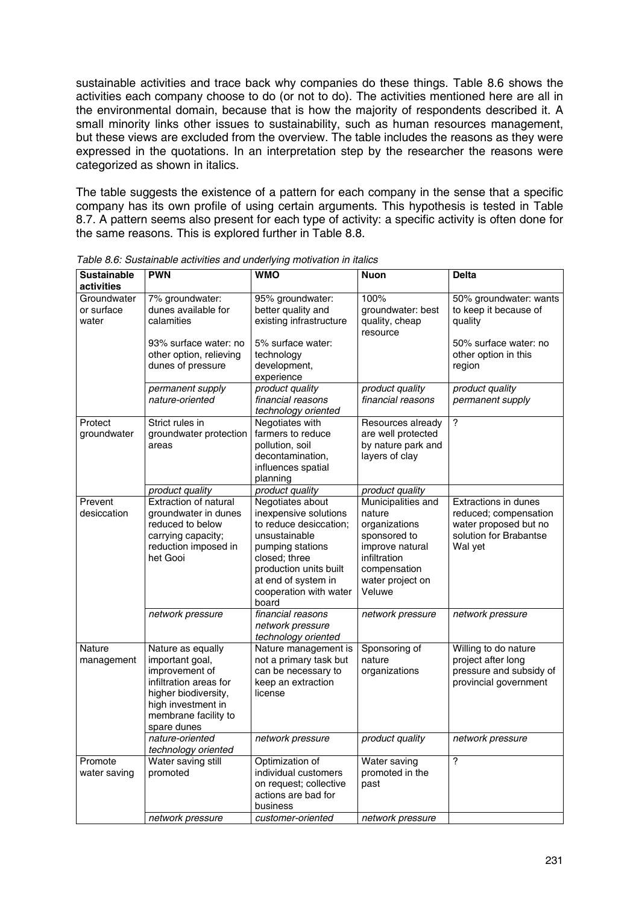sustainable activities and trace back why companies do these things. Table 8.6 shows the activities each company choose to do (or not to do). The activities mentioned here are all in the environmental domain, because that is how the majority of respondents described it. A small minority links other issues to sustainability, such as human resources management, but these views are excluded from the overview. The table includes the reasons as they were expressed in the quotations. In an interpretation step by the researcher the reasons were categorized as shown in italics.

The table suggests the existence of a pattern for each company in the sense that a specific company has its own profile of using certain arguments. This hypothesis is tested in Table 8.7. A pattern seems also present for each type of activity: a specific activity is often done for the same reasons. This is explored further in Table 8.8.

| <b>Sustainable</b> | <b>PWN</b>                        | <b>WMO</b>                                    | <b>Nuon</b>                | <b>Delta</b>                                  |
|--------------------|-----------------------------------|-----------------------------------------------|----------------------------|-----------------------------------------------|
| activities         |                                   |                                               |                            |                                               |
| Groundwater        | 7% groundwater:                   | 95% groundwater:                              | 100%                       | 50% groundwater: wants                        |
| or surface         | dunes available for               | better quality and                            | groundwater: best          | to keep it because of                         |
| water              | calamities                        | existing infrastructure                       | quality, cheap<br>resource | quality                                       |
|                    | 93% surface water: no             | 5% surface water:                             |                            | 50% surface water: no                         |
|                    | other option, relieving           | technology                                    |                            | other option in this                          |
|                    | dunes of pressure                 | development,                                  |                            | region                                        |
|                    |                                   | experience                                    |                            |                                               |
|                    | permanent supply                  | product quality                               | product quality            | product quality                               |
|                    | nature-oriented                   | financial reasons                             | financial reasons          | permanent supply                              |
|                    |                                   | technology oriented                           |                            |                                               |
| Protect            | Strict rules in                   | Negotiates with                               | Resources already          | ?                                             |
| groundwater        | groundwater protection            | farmers to reduce                             | are well protected         |                                               |
|                    | areas                             | pollution, soil                               | by nature park and         |                                               |
|                    |                                   | decontamination,                              | layers of clay             |                                               |
|                    |                                   | influences spatial                            |                            |                                               |
|                    | product quality                   | planning<br>product quality                   | product quality            |                                               |
| Prevent            | <b>Extraction of natural</b>      | Negotiates about                              | Municipalities and         | <b>Extractions in dunes</b>                   |
| desiccation        | groundwater in dunes              | inexpensive solutions                         | nature                     | reduced; compensation                         |
|                    | reduced to below                  | to reduce desiccation;                        | organizations              | water proposed but no                         |
|                    | carrying capacity;                | unsustainable                                 | sponsored to               | solution for Brabantse                        |
|                    | reduction imposed in              | pumping stations                              | improve natural            | Wal yet                                       |
|                    | het Gooi                          | closed; three                                 | infiltration               |                                               |
|                    |                                   | production units built                        | compensation               |                                               |
|                    |                                   | at end of system in                           | water project on           |                                               |
|                    |                                   | cooperation with water                        | Veluwe                     |                                               |
|                    |                                   | board                                         |                            |                                               |
|                    | network pressure                  | financial reasons                             | network pressure           | network pressure                              |
|                    |                                   | network pressure                              |                            |                                               |
|                    |                                   | technology oriented                           |                            |                                               |
| <b>Nature</b>      | Nature as equally                 | Nature management is                          | Sponsoring of              | Willing to do nature                          |
| management         | important goal,<br>improvement of | not a primary task but<br>can be necessary to | nature                     | project after long<br>pressure and subsidy of |
|                    | infiltration areas for            | keep an extraction                            | organizations              | provincial government                         |
|                    | higher biodiversity,              | license                                       |                            |                                               |
|                    | high investment in                |                                               |                            |                                               |
|                    | membrane facility to              |                                               |                            |                                               |
|                    | spare dunes                       |                                               |                            |                                               |
|                    | nature-oriented                   | network pressure                              | product quality            | network pressure                              |
|                    | technology oriented               |                                               |                            |                                               |
| Promote            | Water saving still                | Optimization of                               | Water saving               | $\overline{?}$                                |
| water saving       | promoted                          | individual customers                          | promoted in the            |                                               |
|                    |                                   | on request; collective                        | past                       |                                               |
|                    |                                   | actions are bad for                           |                            |                                               |
|                    |                                   | business                                      |                            |                                               |
|                    | network pressure                  | customer-oriented                             | network pressure           |                                               |

*Table 8.6: Sustainable activities and underlying motivation in italics*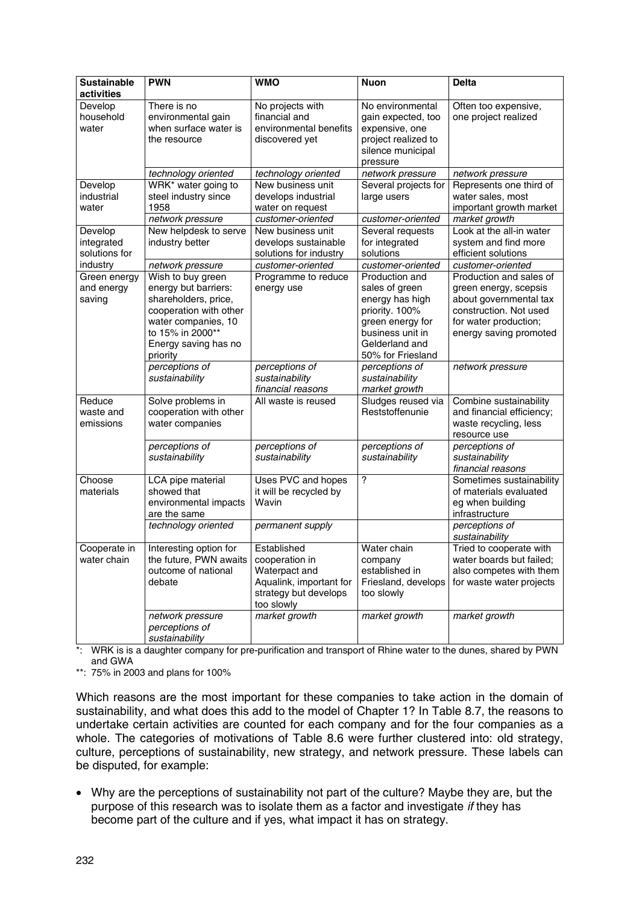| <b>Sustainable</b><br>activities       | <b>PWN</b>                                                                                                                                                                 | <b>WMO</b>                                                                                                       | <b>Nuon</b>                                                                                                                                          | <b>Delta</b>                                                                                                                                            |
|----------------------------------------|----------------------------------------------------------------------------------------------------------------------------------------------------------------------------|------------------------------------------------------------------------------------------------------------------|------------------------------------------------------------------------------------------------------------------------------------------------------|---------------------------------------------------------------------------------------------------------------------------------------------------------|
| Develop<br>household<br>water          | There is no<br>environmental gain<br>when surface water is<br>the resource                                                                                                 | No projects with<br>financial and<br>environmental benefits<br>discovered yet                                    | No environmental<br>gain expected, too<br>expensive, one<br>project realized to<br>silence municipal<br>pressure                                     | Often too expensive,<br>one project realized                                                                                                            |
|                                        | technology oriented                                                                                                                                                        | technology oriented                                                                                              | network pressure                                                                                                                                     | network pressure                                                                                                                                        |
| Develop<br>industrial<br>water         | WRK* water going to<br>steel industry since<br>1958<br>network pressure                                                                                                    | New business unit<br>develops industrial<br>water on request<br>customer-oriented                                | Several projects for<br>large users<br>customer-oriented                                                                                             | Represents one third of<br>water sales, most<br>important growth market<br>market growth                                                                |
| Develop<br>integrated<br>solutions for | New helpdesk to serve<br>industry better                                                                                                                                   | New business unit<br>develops sustainable<br>solutions for industry                                              | Several requests<br>for integrated<br>solutions                                                                                                      | Look at the all-in water<br>system and find more<br>efficient solutions                                                                                 |
| industry                               | network pressure                                                                                                                                                           | customer-oriented                                                                                                | customer-oriented                                                                                                                                    | customer-oriented                                                                                                                                       |
| Green energy<br>and energy<br>saving   | Wish to buy green<br>energy but barriers:<br>shareholders, price,<br>cooperation with other<br>water companies, 10<br>to 15% in 2000**<br>Energy saving has no<br>priority | Programme to reduce<br>energy use                                                                                | Production and<br>sales of green<br>energy has high<br>priority. 100%<br>green energy for<br>business unit in<br>Gelderland and<br>50% for Friesland | Production and sales of<br>green energy, scepsis<br>about governmental tax<br>construction. Not used<br>for water production;<br>energy saving promoted |
|                                        | perceptions of<br>sustainability                                                                                                                                           | perceptions of<br>sustainability<br>financial reasons                                                            | perceptions of<br>sustainability<br>market growth                                                                                                    | network pressure                                                                                                                                        |
| Reduce<br>waste and<br>emissions       | Solve problems in<br>cooperation with other<br>water companies                                                                                                             | All waste is reused                                                                                              | Sludges reused via<br>Reststoffenunie                                                                                                                | Combine sustainability<br>and financial efficiency;<br>waste recycling, less<br>resource use                                                            |
|                                        | perceptions of<br>sustainability                                                                                                                                           | perceptions of<br>sustainability                                                                                 | perceptions of<br>sustainability                                                                                                                     | perceptions of<br>sustainability<br>financial reasons                                                                                                   |
| Choose<br>materials                    | LCA pipe material<br>showed that<br>environmental impacts<br>are the same                                                                                                  | Uses PVC and hopes<br>it will be recycled by<br>Wavin                                                            | $\overline{?}$                                                                                                                                       | Sometimes sustainability<br>of materials evaluated<br>eg when building<br>infrastructure                                                                |
|                                        | technology oriented                                                                                                                                                        | permanent supply                                                                                                 |                                                                                                                                                      | perceptions of<br>sustainability                                                                                                                        |
| Cooperate in<br>water chain            | Interesting option for<br>the future, PWN awaits<br>outcome of national<br>debate                                                                                          | Established<br>cooperation in<br>Waterpact and<br>Aqualink, important for<br>strategy but develops<br>too slowly | Water chain<br>company<br>established in<br>Friesland, develops<br>too slowly                                                                        | Tried to cooperate with<br>water boards but failed;<br>also competes with them<br>for waste water projects                                              |
|                                        | network pressure<br>perceptions of<br>sustainability                                                                                                                       | market growth                                                                                                    | market growth                                                                                                                                        | market growth                                                                                                                                           |

\*: WRK is is a daughter company for pre-purification and transport of Rhine water to the dunes, shared by PWN and GWA

\*\*: 75% in 2003 and plans for 100%

Which reasons are the most important for these companies to take action in the domain of sustainability, and what does this add to the model of Chapter 1? In Table 8.7, the reasons to undertake certain activities are counted for each company and for the four companies as a whole. The categories of motivations of Table 8.6 were further clustered into: old strategy, culture, perceptions of sustainability, new strategy, and network pressure. These labels can be disputed, for example:

• Why are the perceptions of sustainability not part of the culture? Maybe they are, but the purpose of this research was to isolate them as a factor and investigate *if* they has become part of the culture and if yes, what impact it has on strategy.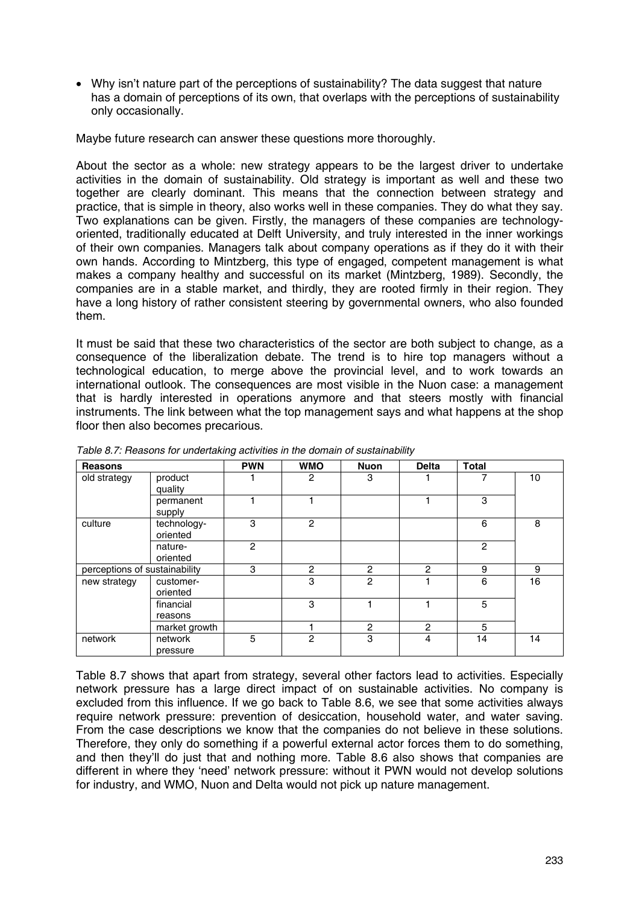• Why isn't nature part of the perceptions of sustainability? The data suggest that nature has a domain of perceptions of its own, that overlaps with the perceptions of sustainability only occasionally.

Maybe future research can answer these questions more thoroughly.

About the sector as a whole: new strategy appears to be the largest driver to undertake activities in the domain of sustainability. Old strategy is important as well and these two together are clearly dominant. This means that the connection between strategy and practice, that is simple in theory, also works well in these companies. They do what they say. Two explanations can be given. Firstly, the managers of these companies are technologyoriented, traditionally educated at Delft University, and truly interested in the inner workings of their own companies. Managers talk about company operations as if they do it with their own hands. According to Mintzberg, this type of engaged, competent management is what makes a company healthy and successful on its market (Mintzberg, 1989). Secondly, the companies are in a stable market, and thirdly, they are rooted firmly in their region. They have a long history of rather consistent steering by governmental owners, who also founded them.

It must be said that these two characteristics of the sector are both subject to change, as a consequence of the liberalization debate. The trend is to hire top managers without a technological education, to merge above the provincial level, and to work towards an international outlook. The consequences are most visible in the Nuon case: a management that is hardly interested in operations anymore and that steers mostly with financial instruments. The link between what the top management says and what happens at the shop floor then also becomes precarious.

| <b>Reasons</b>                |                         | <b>PWN</b> | <b>WMO</b>     | <b>Nuon</b>    | <b>Delta</b>   | <b>Total</b>   |    |
|-------------------------------|-------------------------|------------|----------------|----------------|----------------|----------------|----|
| old strategy                  | product<br>quality      |            | 2              | 3              |                | 7              | 10 |
|                               | permanent<br>supply     |            |                |                |                | 3              |    |
| culture                       | technology-<br>oriented | 3          | $\overline{2}$ |                |                | 6              | 8  |
|                               | nature-<br>oriented     | 2          |                |                |                | $\overline{c}$ |    |
| perceptions of sustainability |                         | 3          | $\overline{2}$ | $\overline{2}$ | $\overline{2}$ | 9              | 9  |
| new strategy                  | customer-<br>oriented   |            | 3              | $\mathfrak{p}$ |                | 6              | 16 |
|                               | financial<br>reasons    |            | 3              |                |                | 5              |    |
|                               | market growth           |            |                | 2              | $\overline{2}$ | 5              |    |
| network                       | network<br>pressure     | 5          | $\overline{2}$ | 3              | $\overline{4}$ | 14             | 14 |

*Table 8.7: Reasons for undertaking activities in the domain of sustainability*

Table 8.7 shows that apart from strategy, several other factors lead to activities. Especially network pressure has a large direct impact of on sustainable activities. No company is excluded from this influence. If we go back to Table 8.6, we see that some activities always require network pressure: prevention of desiccation, household water, and water saving. From the case descriptions we know that the companies do not believe in these solutions. Therefore, they only do something if a powerful external actor forces them to do something, and then they'll do just that and nothing more. Table 8.6 also shows that companies are different in where they 'need' network pressure: without it PWN would not develop solutions for industry, and WMO, Nuon and Delta would not pick up nature management.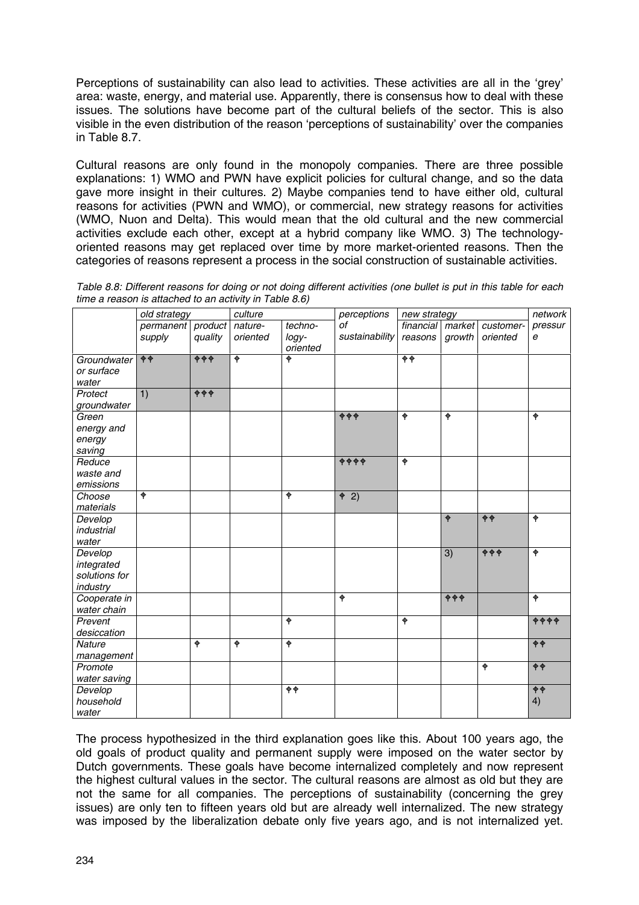Perceptions of sustainability can also lead to activities. These activities are all in the 'grey' area: waste, energy, and material use. Apparently, there is consensus how to deal with these issues. The solutions have become part of the cultural beliefs of the sector. This is also visible in the even distribution of the reason 'perceptions of sustainability' over the companies in Table 8.7.

Cultural reasons are only found in the monopoly companies. There are three possible explanations: 1) WMO and PWN have explicit policies for cultural change, and so the data gave more insight in their cultures. 2) Maybe companies tend to have either old, cultural reasons for activities (PWN and WMO), or commercial, new strategy reasons for activities (WMO, Nuon and Delta). This would mean that the old cultural and the new commercial activities exclude each other, except at a hybrid company like WMO. 3) The technologyoriented reasons may get replaced over time by more market-oriented reasons. Then the categories of reasons represent a process in the social construction of sustainable activities.

|                                                    | old strategy        |                             | culture             |                              | perceptions          | new strategy         |                      |                       | network                   |
|----------------------------------------------------|---------------------|-----------------------------|---------------------|------------------------------|----------------------|----------------------|----------------------|-----------------------|---------------------------|
|                                                    | permanent<br>supply | product<br>quality          | nature-<br>oriented | techno-<br>logy-<br>oriented | οf<br>sustainability | financial<br>reasons | market l<br>growth   | customer-<br>oriented | pressur<br>е              |
| Groundwater<br>or surface<br>water                 | $\phi$              | $\overline{\phi \phi \phi}$ | $\ddot{\phi}$       | $\overline{\bullet}$         |                      | $\overline{\phi}$    |                      |                       |                           |
| Protect<br>groundwater                             | 1)                  | $\overline{\phi \phi \phi}$ |                     |                              |                      |                      |                      |                       |                           |
| Green<br>energy and<br>energy<br>saving            |                     |                             |                     |                              | $\phi$               | $\ddot{\phi}$        | $\overline{\bullet}$ |                       | $\ddot{\phi}$             |
| Reduce<br>waste and<br>emissions                   |                     |                             |                     |                              | <b>AAAA</b>          | $\blacklozenge$      |                      |                       |                           |
| Choose<br>materials                                | $\ddot{\phi}$       |                             |                     | $\ddot{\phi}$                | 42)                  |                      |                      |                       |                           |
| Develop<br>industrial<br>water                     |                     |                             |                     |                              |                      |                      | $\bigoplus$          | $\bigoplus$           | $\ddot{\phi}$             |
| Develop<br>integrated<br>solutions for<br>industry |                     |                             |                     |                              |                      |                      | $\overline{3}$       | $\Phi \Phi \Phi$      | $\ddot{\phi}$             |
| Cooperate in<br>water chain                        |                     |                             |                     |                              | $\ddot{\phi}$        |                      | $\phi$ $\phi$        |                       | $\ddot{\phi}$             |
| Prevent<br>desiccation                             |                     |                             |                     | $\ddot{\phi}$                |                      | $\blacklozenge$      |                      |                       | $\overline{\phi\phi\phi}$ |
| Nature<br>management                               |                     | $\ddot{\phi}$               | $\ddot{\phi}$       | $\blacklozenge$              |                      |                      |                      |                       | $\bigoplus$               |
| Promote<br>water saving                            |                     |                             |                     |                              |                      |                      |                      | $\ddot{\phi}$         | $\overline{\phi}$         |
| Develop<br>household<br>water                      |                     |                             |                     | $\bigoplus$                  |                      |                      |                      |                       | $\overline{\phi}$<br>4)   |

*Table 8.8: Different reasons for doing or not doing different activities (one bullet is put in this table for each time a reason is attached to an activity in Table 8.6)*

The process hypothesized in the third explanation goes like this. About 100 years ago, the old goals of product quality and permanent supply were imposed on the water sector by Dutch governments. These goals have become internalized completely and now represent the highest cultural values in the sector. The cultural reasons are almost as old but they are not the same for all companies. The perceptions of sustainability (concerning the grey issues) are only ten to fifteen years old but are already well internalized. The new strategy was imposed by the liberalization debate only five years ago, and is not internalized yet.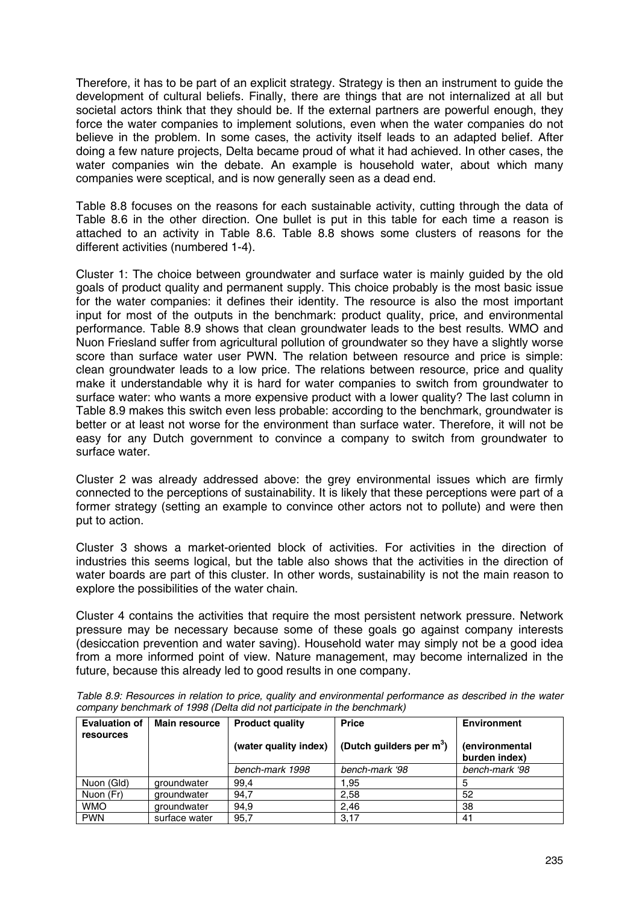Therefore, it has to be part of an explicit strategy. Strategy is then an instrument to guide the development of cultural beliefs. Finally, there are things that are not internalized at all but societal actors think that they should be. If the external partners are powerful enough, they force the water companies to implement solutions, even when the water companies do not believe in the problem. In some cases, the activity itself leads to an adapted belief. After doing a few nature projects, Delta became proud of what it had achieved. In other cases, the water companies win the debate. An example is household water, about which many companies were sceptical, and is now generally seen as a dead end.

Table 8.8 focuses on the reasons for each sustainable activity, cutting through the data of Table 8.6 in the other direction. One bullet is put in this table for each time a reason is attached to an activity in Table 8.6. Table 8.8 shows some clusters of reasons for the different activities (numbered 1-4).

Cluster 1: The choice between groundwater and surface water is mainly guided by the old goals of product quality and permanent supply. This choice probably is the most basic issue for the water companies: it defines their identity. The resource is also the most important input for most of the outputs in the benchmark: product quality, price, and environmental performance. Table 8.9 shows that clean groundwater leads to the best results. WMO and Nuon Friesland suffer from agricultural pollution of groundwater so they have a slightly worse score than surface water user PWN. The relation between resource and price is simple: clean groundwater leads to a low price. The relations between resource, price and quality make it understandable why it is hard for water companies to switch from groundwater to surface water: who wants a more expensive product with a lower quality? The last column in Table 8.9 makes this switch even less probable: according to the benchmark, groundwater is better or at least not worse for the environment than surface water. Therefore, it will not be easy for any Dutch government to convince a company to switch from groundwater to surface water.

Cluster 2 was already addressed above: the grey environmental issues which are firmly connected to the perceptions of sustainability. It is likely that these perceptions were part of a former strategy (setting an example to convince other actors not to pollute) and were then put to action.

Cluster 3 shows a market-oriented block of activities. For activities in the direction of industries this seems logical, but the table also shows that the activities in the direction of water boards are part of this cluster. In other words, sustainability is not the main reason to explore the possibilities of the water chain.

Cluster 4 contains the activities that require the most persistent network pressure. Network pressure may be necessary because some of these goals go against company interests (desiccation prevention and water saving). Household water may simply not be a good idea from a more informed point of view. Nature management, may become internalized in the future, because this already led to good results in one company.

| <b>Evaluation of</b> | <b>Main resource</b> | <b>Product quality</b> | <b>Price</b>                | <b>Environment</b>              |
|----------------------|----------------------|------------------------|-----------------------------|---------------------------------|
| resources            |                      | (water quality index)  | (Dutch guilders per $m^3$ ) | (environmental<br>burden index) |
|                      |                      | bench-mark 1998        | bench-mark '98              | bench-mark '98                  |
| Nuon (Gld)           | groundwater          | 99.4                   | 1.95                        |                                 |
| Nuon (Fr)            | groundwater          | 94,7                   | 2,58                        | 52                              |
| <b>WMO</b>           | groundwater          | 94.9                   | 2.46                        | 38                              |
| <b>PWN</b>           | surface water        | 95.7                   | 3,17                        | 41                              |

*Table 8.9: Resources in relation to price, quality and environmental performance as described in the water company benchmark of 1998 (Delta did not participate in the benchmark)*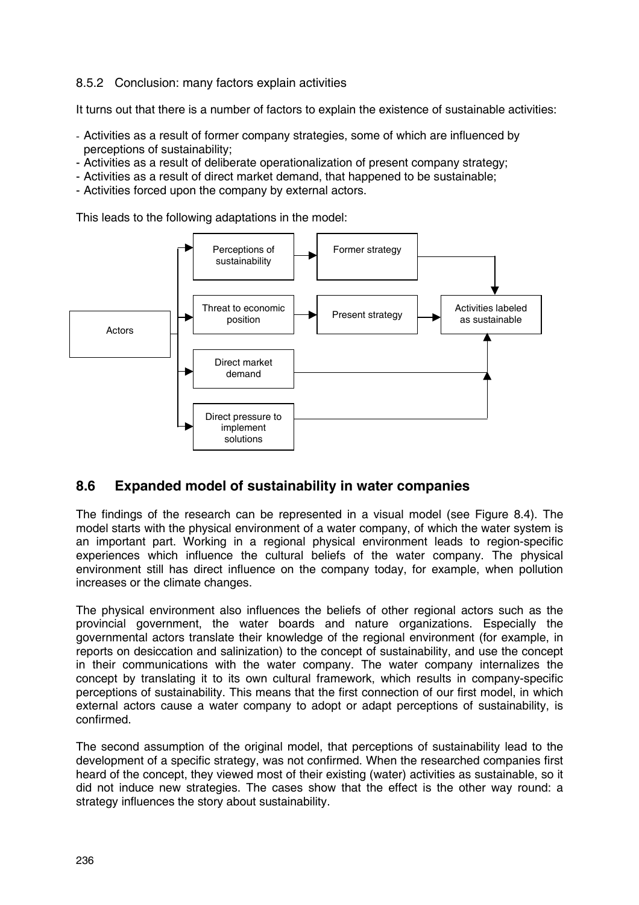### 8.5.2 Conclusion: many factors explain activities

It turns out that there is a number of factors to explain the existence of sustainable activities:

- Activities as a result of former company strategies, some of which are influenced by perceptions of sustainability;
- Activities as a result of deliberate operationalization of present company strategy;
- Activities as a result of direct market demand, that happened to be sustainable;
- Activities forced upon the company by external actors.

This leads to the following adaptations in the model:



## **8.6 Expanded model of sustainability in water companies**

The findings of the research can be represented in a visual model (see Figure 8.4). The model starts with the physical environment of a water company, of which the water system is an important part. Working in a regional physical environment leads to region-specific experiences which influence the cultural beliefs of the water company. The physical environment still has direct influence on the company today, for example, when pollution increases or the climate changes.

The physical environment also influences the beliefs of other regional actors such as the provincial government, the water boards and nature organizations. Especially the governmental actors translate their knowledge of the regional environment (for example, in reports on desiccation and salinization) to the concept of sustainability, and use the concept in their communications with the water company. The water company internalizes the concept by translating it to its own cultural framework, which results in company-specific perceptions of sustainability. This means that the first connection of our first model, in which external actors cause a water company to adopt or adapt perceptions of sustainability, is confirmed.

The second assumption of the original model, that perceptions of sustainability lead to the development of a specific strategy, was not confirmed. When the researched companies first heard of the concept, they viewed most of their existing (water) activities as sustainable, so it did not induce new strategies. The cases show that the effect is the other way round: a strategy influences the story about sustainability.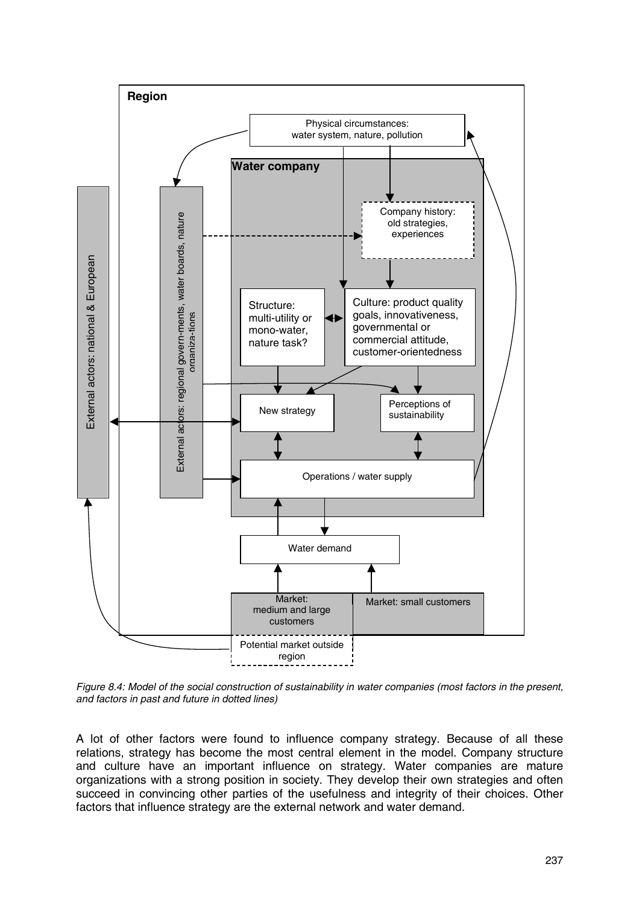

*Figure 8.4: Model of the social construction of sustainability in water companies (most factors in the present, and factors in past and future in dotted lines)*

A lot of other factors were found to influence company strategy. Because of all these relations, strategy has become the most central element in the model. Company structure and culture have an important influence on strategy. Water companies are mature organizations with a strong position in society. They develop their own strategies and often succeed in convincing other parties of the usefulness and integrity of their choices. Other factors that influence strategy are the external network and water demand.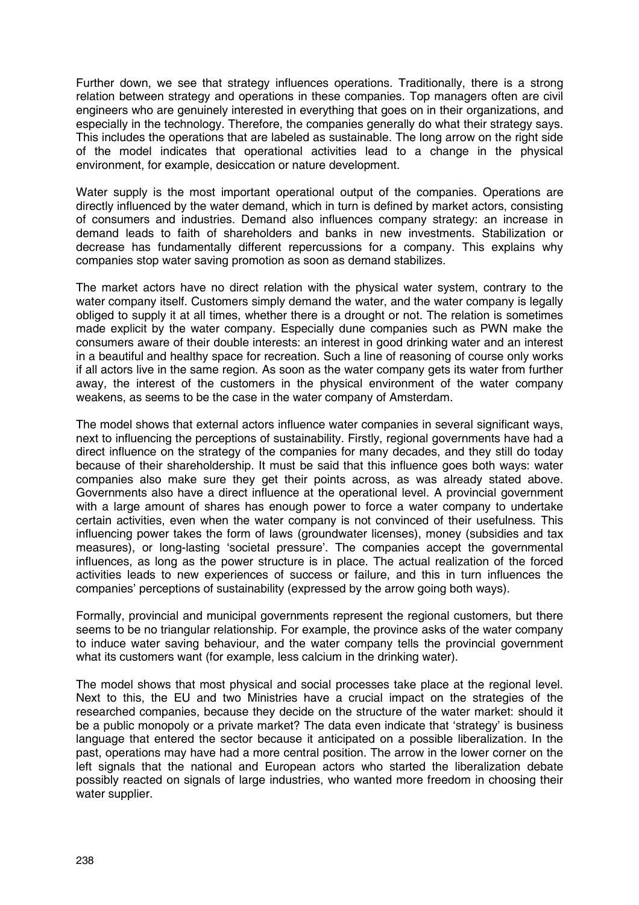Further down, we see that strategy influences operations. Traditionally, there is a strong relation between strategy and operations in these companies. Top managers often are civil engineers who are genuinely interested in everything that goes on in their organizations, and especially in the technology. Therefore, the companies generally do what their strategy says. This includes the operations that are labeled as sustainable. The long arrow on the right side of the model indicates that operational activities lead to a change in the physical environment, for example, desiccation or nature development.

Water supply is the most important operational output of the companies. Operations are directly influenced by the water demand, which in turn is defined by market actors, consisting of consumers and industries. Demand also influences company strategy: an increase in demand leads to faith of shareholders and banks in new investments. Stabilization or decrease has fundamentally different repercussions for a company. This explains why companies stop water saving promotion as soon as demand stabilizes.

The market actors have no direct relation with the physical water system, contrary to the water company itself. Customers simply demand the water, and the water company is legally obliged to supply it at all times, whether there is a drought or not. The relation is sometimes made explicit by the water company. Especially dune companies such as PWN make the consumers aware of their double interests: an interest in good drinking water and an interest in a beautiful and healthy space for recreation. Such a line of reasoning of course only works if all actors live in the same region. As soon as the water company gets its water from further away, the interest of the customers in the physical environment of the water company weakens, as seems to be the case in the water company of Amsterdam.

The model shows that external actors influence water companies in several significant ways, next to influencing the perceptions of sustainability. Firstly, regional governments have had a direct influence on the strategy of the companies for many decades, and they still do today because of their shareholdership. It must be said that this influence goes both ways: water companies also make sure they get their points across, as was already stated above. Governments also have a direct influence at the operational level. A provincial government with a large amount of shares has enough power to force a water company to undertake certain activities, even when the water company is not convinced of their usefulness. This influencing power takes the form of laws (groundwater licenses), money (subsidies and tax measures), or long-lasting 'societal pressure'. The companies accept the governmental influences, as long as the power structure is in place. The actual realization of the forced activities leads to new experiences of success or failure, and this in turn influences the companies' perceptions of sustainability (expressed by the arrow going both ways).

Formally, provincial and municipal governments represent the regional customers, but there seems to be no triangular relationship. For example, the province asks of the water company to induce water saving behaviour, and the water company tells the provincial government what its customers want (for example, less calcium in the drinking water).

The model shows that most physical and social processes take place at the regional level. Next to this, the EU and two Ministries have a crucial impact on the strategies of the researched companies, because they decide on the structure of the water market: should it be a public monopoly or a private market? The data even indicate that 'strategy' is business language that entered the sector because it anticipated on a possible liberalization. In the past, operations may have had a more central position. The arrow in the lower corner on the left signals that the national and European actors who started the liberalization debate possibly reacted on signals of large industries, who wanted more freedom in choosing their water supplier.